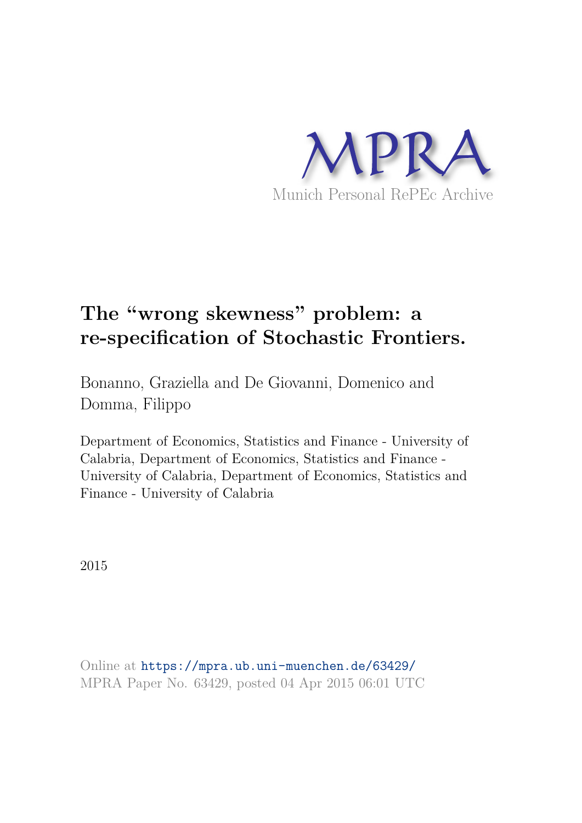

# **The "wrong skewness" problem: a re-specification of Stochastic Frontiers.**

Bonanno, Graziella and De Giovanni, Domenico and Domma, Filippo

Department of Economics, Statistics and Finance - University of Calabria, Department of Economics, Statistics and Finance - University of Calabria, Department of Economics, Statistics and Finance - University of Calabria

2015

Online at https://mpra.ub.uni-muenchen.de/63429/ MPRA Paper No. 63429, posted 04 Apr 2015 06:01 UTC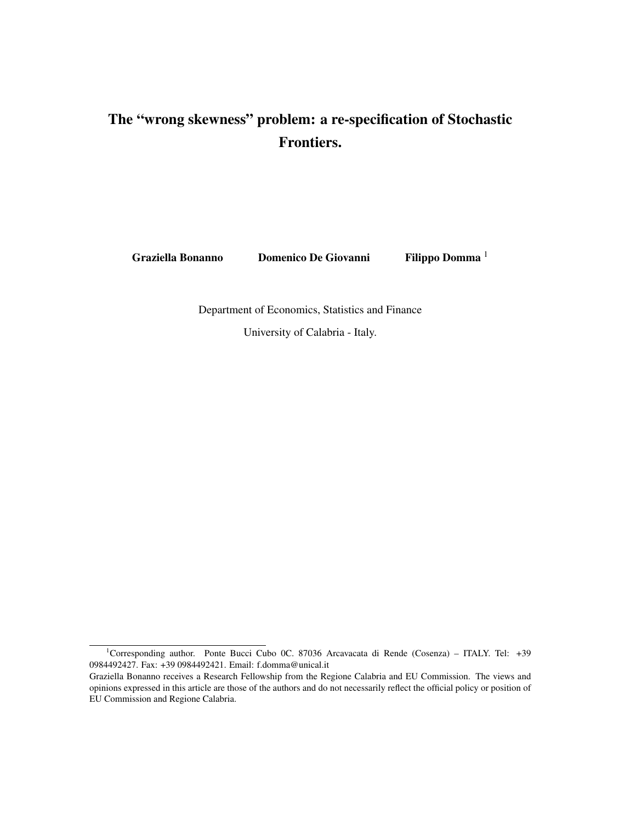## The "wrong skewness" problem: a re-specification of Stochastic Frontiers.

Graziella Bonanno Domenico De Giovanni Filippo Domma <sup>1</sup>

Department of Economics, Statistics and Finance

University of Calabria - Italy.

<sup>&</sup>lt;sup>1</sup>Corresponding author. Ponte Bucci Cubo 0C. 87036 Arcavacata di Rende (Cosenza) – ITALY. Tel: +39 0984492427. Fax: +39 0984492421. Email: f.domma@unical.it

Graziella Bonanno receives a Research Fellowship from the Regione Calabria and EU Commission. The views and opinions expressed in this article are those of the authors and do not necessarily reflect the official policy or position of EU Commission and Regione Calabria.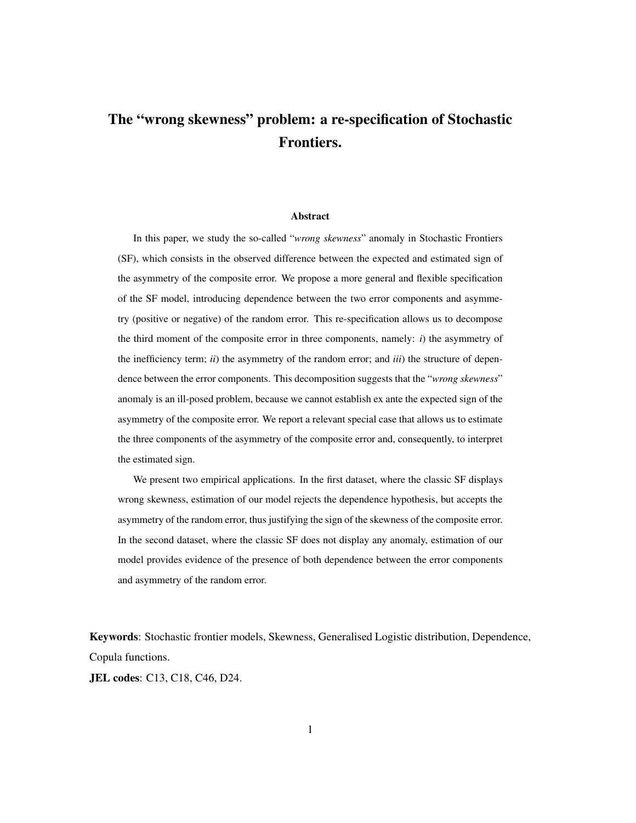## The "wrong skewness" problem: a re-specification of Stochastic Frontiers.

#### Abstract

In this paper, we study the so-called "*wrong skewness*" anomaly in Stochastic Frontiers (SF), which consists in the observed difference between the expected and estimated sign of the asymmetry of the composite error. We propose a more general and flexible specification of the SF model, introducing dependence between the two error components and asymmetry (positive or negative) of the random error. This re-specification allows us to decompose the third moment of the composite error in three components, namely: *i*) the asymmetry of the inefficiency term; *ii*) the asymmetry of the random error; and *iii*) the structure of dependence between the error components. This decomposition suggests that the "*wrong skewness*" anomaly is an ill-posed problem, because we cannot establish ex ante the expected sign of the asymmetry of the composite error. We report a relevant special case that allows us to estimate the three components of the asymmetry of the composite error and, consequently, to interpret the estimated sign.

We present two empirical applications. In the first dataset, where the classic SF displays wrong skewness, estimation of our model rejects the dependence hypothesis, but accepts the asymmetry of the random error, thus justifying the sign of the skewness of the composite error. In the second dataset, where the classic SF does not display any anomaly, estimation of our model provides evidence of the presence of both dependence between the error components and asymmetry of the random error.

Keywords: Stochastic frontier models, Skewness, Generalised Logistic distribution, Dependence, Copula functions.

JEL codes: C13, C18, C46, D24.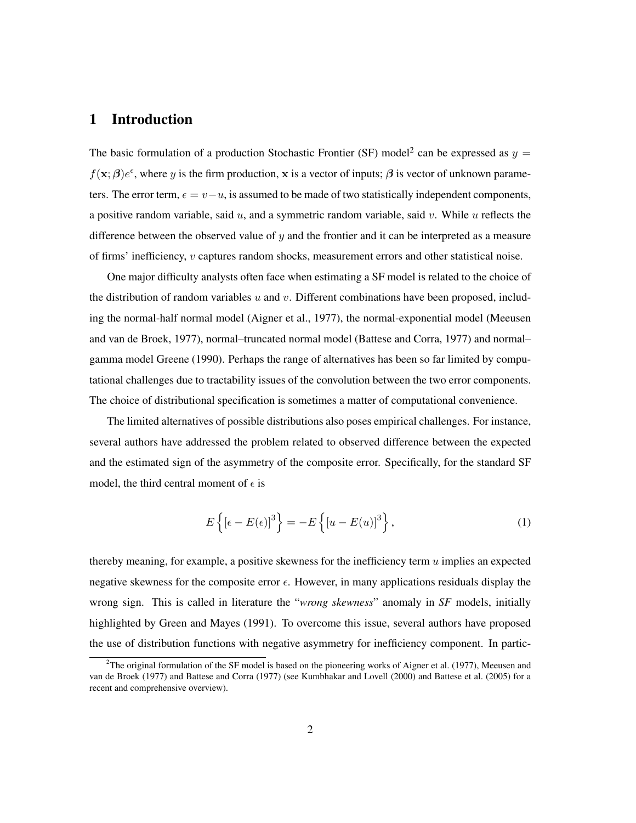## 1 Introduction

The basic formulation of a production Stochastic Frontier (SF) model<sup>2</sup> can be expressed as  $y =$  $f(\mathbf{x}; \boldsymbol{\beta})e^{\epsilon}$ , where y is the firm production, x is a vector of inputs;  $\boldsymbol{\beta}$  is vector of unknown parameters. The error term,  $\epsilon = v - u$ , is assumed to be made of two statistically independent components, a positive random variable, said  $u$ , and a symmetric random variable, said  $v$ . While  $u$  reflects the difference between the observed value of  $\gamma$  and the frontier and it can be interpreted as a measure of firms' inefficiency, v captures random shocks, measurement errors and other statistical noise.

One major difficulty analysts often face when estimating a SF model is related to the choice of the distribution of random variables  $u$  and  $v$ . Different combinations have been proposed, including the normal-half normal model (Aigner et al., 1977), the normal-exponential model (Meeusen and van de Broek, 1977), normal–truncated normal model (Battese and Corra, 1977) and normal– gamma model Greene (1990). Perhaps the range of alternatives has been so far limited by computational challenges due to tractability issues of the convolution between the two error components. The choice of distributional specification is sometimes a matter of computational convenience.

The limited alternatives of possible distributions also poses empirical challenges. For instance, several authors have addressed the problem related to observed difference between the expected and the estimated sign of the asymmetry of the composite error. Specifically, for the standard SF model, the third central moment of  $\epsilon$  is

$$
E\left\{ \left[\epsilon - E(\epsilon)\right]^3 \right\} = -E\left\{ \left[u - E(u)\right]^3 \right\},\tag{1}
$$

thereby meaning, for example, a positive skewness for the inefficiency term  $u$  implies an expected negative skewness for the composite error  $\epsilon$ . However, in many applications residuals display the wrong sign. This is called in literature the "*wrong skewness*" anomaly in *SF* models, initially highlighted by Green and Mayes (1991). To overcome this issue, several authors have proposed the use of distribution functions with negative asymmetry for inefficiency component. In partic-

 $2$ The original formulation of the SF model is based on the pioneering works of Aigner et al. (1977), Meeusen and van de Broek (1977) and Battese and Corra (1977) (see Kumbhakar and Lovell (2000) and Battese et al. (2005) for a recent and comprehensive overview).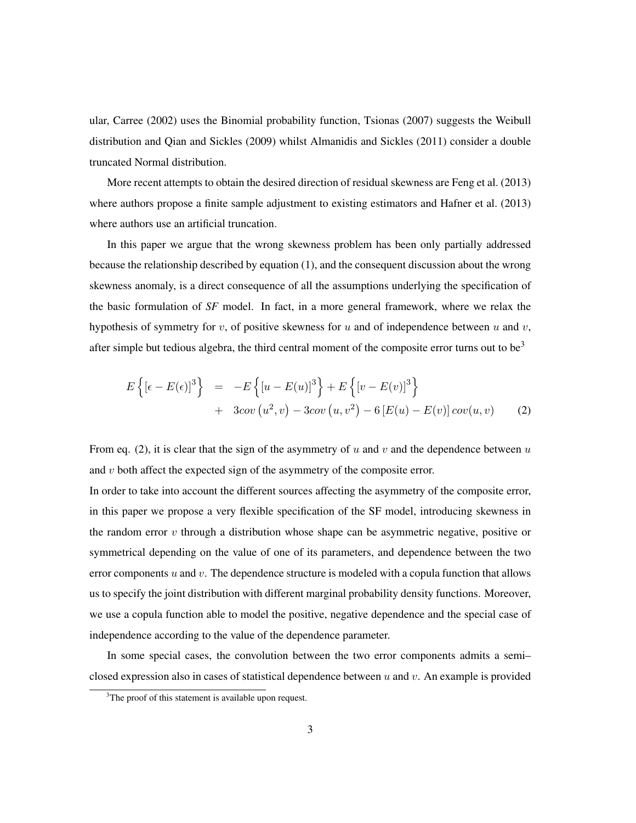ular, Carree (2002) uses the Binomial probability function, Tsionas (2007) suggests the Weibull distribution and Qian and Sickles (2009) whilst Almanidis and Sickles (2011) consider a double truncated Normal distribution.

More recent attempts to obtain the desired direction of residual skewness are Feng et al. (2013) where authors propose a finite sample adjustment to existing estimators and Hafner et al. (2013) where authors use an artificial truncation.

In this paper we argue that the wrong skewness problem has been only partially addressed because the relationship described by equation (1), and the consequent discussion about the wrong skewness anomaly, is a direct consequence of all the assumptions underlying the specification of the basic formulation of *SF* model. In fact, in a more general framework, where we relax the hypothesis of symmetry for v, of positive skewness for u and of independence between u and v, after simple but tedious algebra, the third central moment of the composite error turns out to be<sup>3</sup>

$$
E\left\{ \left[ \epsilon - E(\epsilon) \right]^3 \right\} = -E\left\{ \left[ u - E(u) \right]^3 \right\} + E\left\{ \left[ v - E(v) \right]^3 \right\} + 3cov(u^2, v) - 3cov(u, v^2) - 6\left[ E(u) - E(v) \right] cov(u, v) \tag{2}
$$

From eq. (2), it is clear that the sign of the asymmetry of u and v and the dependence between u and v both affect the expected sign of the asymmetry of the composite error.

In order to take into account the different sources affecting the asymmetry of the composite error, in this paper we propose a very flexible specification of the SF model, introducing skewness in the random error  $v$  through a distribution whose shape can be asymmetric negative, positive or symmetrical depending on the value of one of its parameters, and dependence between the two error components u and v. The dependence structure is modeled with a copula function that allows us to specify the joint distribution with different marginal probability density functions. Moreover, we use a copula function able to model the positive, negative dependence and the special case of independence according to the value of the dependence parameter.

In some special cases, the convolution between the two error components admits a semi– closed expression also in cases of statistical dependence between  $u$  and  $v$ . An example is provided

 $3$ The proof of this statement is available upon request.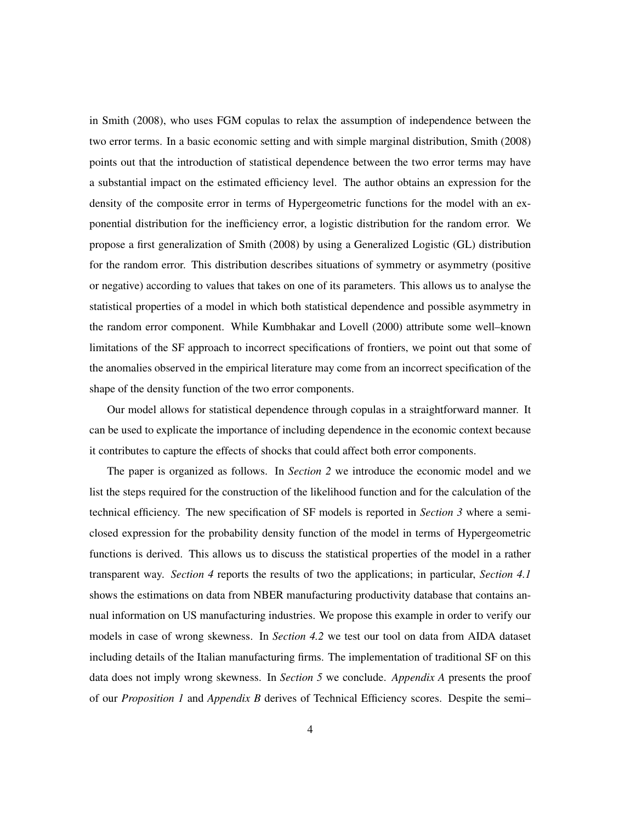in Smith (2008), who uses FGM copulas to relax the assumption of independence between the two error terms. In a basic economic setting and with simple marginal distribution, Smith (2008) points out that the introduction of statistical dependence between the two error terms may have a substantial impact on the estimated efficiency level. The author obtains an expression for the density of the composite error in terms of Hypergeometric functions for the model with an exponential distribution for the inefficiency error, a logistic distribution for the random error. We propose a first generalization of Smith (2008) by using a Generalized Logistic (GL) distribution for the random error. This distribution describes situations of symmetry or asymmetry (positive or negative) according to values that takes on one of its parameters. This allows us to analyse the statistical properties of a model in which both statistical dependence and possible asymmetry in the random error component. While Kumbhakar and Lovell (2000) attribute some well–known limitations of the SF approach to incorrect specifications of frontiers, we point out that some of the anomalies observed in the empirical literature may come from an incorrect specification of the shape of the density function of the two error components.

Our model allows for statistical dependence through copulas in a straightforward manner. It can be used to explicate the importance of including dependence in the economic context because it contributes to capture the effects of shocks that could affect both error components.

The paper is organized as follows. In *Section 2* we introduce the economic model and we list the steps required for the construction of the likelihood function and for the calculation of the technical efficiency. The new specification of SF models is reported in *Section 3* where a semiclosed expression for the probability density function of the model in terms of Hypergeometric functions is derived. This allows us to discuss the statistical properties of the model in a rather transparent way. *Section 4* reports the results of two the applications; in particular, *Section 4.1* shows the estimations on data from NBER manufacturing productivity database that contains annual information on US manufacturing industries. We propose this example in order to verify our models in case of wrong skewness. In *Section 4.2* we test our tool on data from AIDA dataset including details of the Italian manufacturing firms. The implementation of traditional SF on this data does not imply wrong skewness. In *Section 5* we conclude. *Appendix A* presents the proof of our *Proposition 1* and *Appendix B* derives of Technical Efficiency scores. Despite the semi–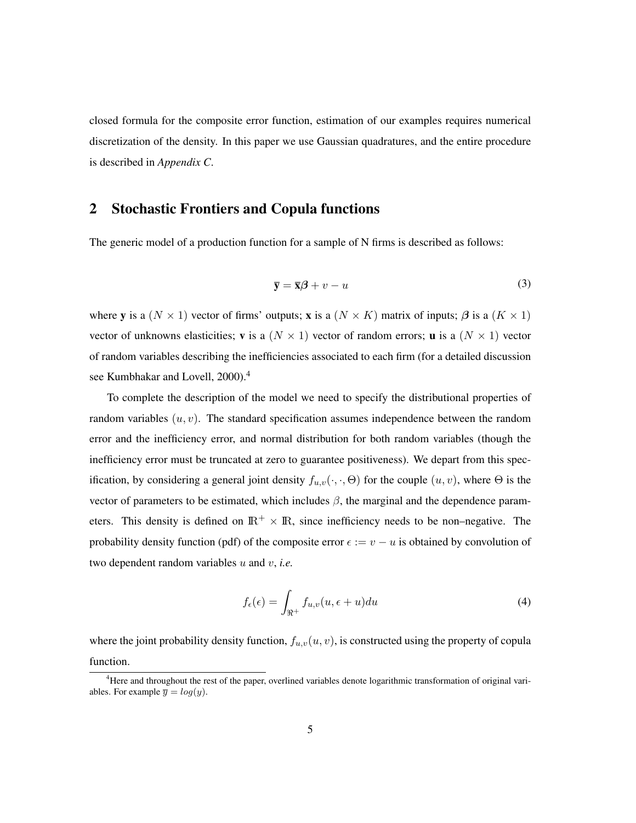closed formula for the composite error function, estimation of our examples requires numerical discretization of the density. In this paper we use Gaussian quadratures, and the entire procedure is described in *Appendix C*.

## 2 Stochastic Frontiers and Copula functions

The generic model of a production function for a sample of N firms is described as follows:

$$
\overline{\mathbf{y}} = \overline{\mathbf{x}}\boldsymbol{\beta} + v - u \tag{3}
$$

where y is a  $(N \times 1)$  vector of firms' outputs; x is a  $(N \times K)$  matrix of inputs;  $\beta$  is a  $(K \times 1)$ vector of unknowns elasticities; **v** is a  $(N \times 1)$  vector of random errors; **u** is a  $(N \times 1)$  vector of random variables describing the inefficiencies associated to each firm (for a detailed discussion see Kumbhakar and Lovell, 2000).<sup>4</sup>

To complete the description of the model we need to specify the distributional properties of random variables  $(u, v)$ . The standard specification assumes independence between the random error and the inefficiency error, and normal distribution for both random variables (though the inefficiency error must be truncated at zero to guarantee positiveness). We depart from this specification, by considering a general joint density  $f_{u,v}(\cdot,\cdot,\Theta)$  for the couple  $(u, v)$ , where  $\Theta$  is the vector of parameters to be estimated, which includes  $\beta$ , the marginal and the dependence parameters. This density is defined on  $\mathbb{R}^+ \times \mathbb{R}$ , since inefficiency needs to be non–negative. The probability density function (pdf) of the composite error  $\epsilon := v - u$  is obtained by convolution of two dependent random variables u and v, *i.e.*

$$
f_{\epsilon}(\epsilon) = \int_{\Re^+} f_{u,v}(u, \epsilon + u) du \tag{4}
$$

where the joint probability density function,  $f_{u,v}(u, v)$ , is constructed using the property of copula function.

<sup>&</sup>lt;sup>4</sup>Here and throughout the rest of the paper, overlined variables denote logarithmic transformation of original variables. For example  $\overline{y} = log(y)$ .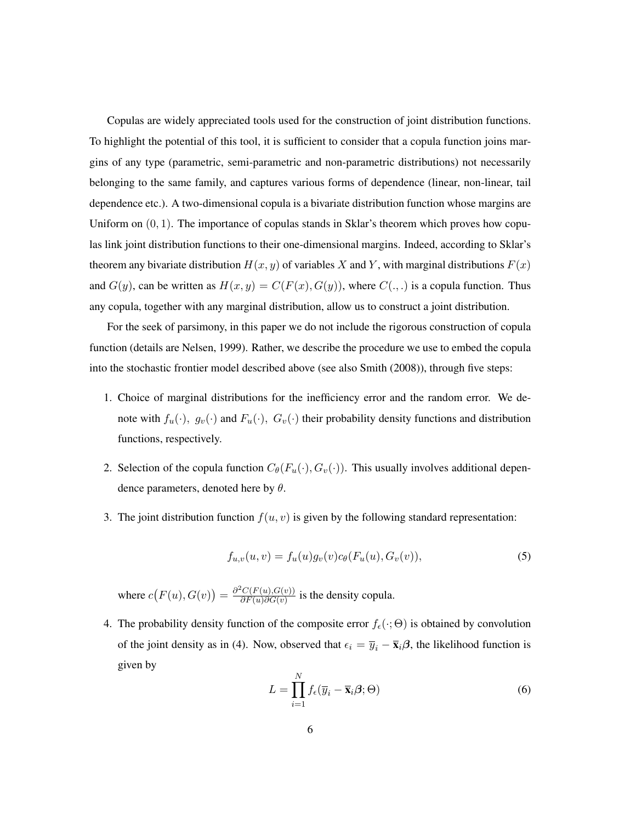Copulas are widely appreciated tools used for the construction of joint distribution functions. To highlight the potential of this tool, it is sufficient to consider that a copula function joins margins of any type (parametric, semi-parametric and non-parametric distributions) not necessarily belonging to the same family, and captures various forms of dependence (linear, non-linear, tail dependence etc.). A two-dimensional copula is a bivariate distribution function whose margins are Uniform on  $(0, 1)$ . The importance of copulas stands in Sklar's theorem which proves how copulas link joint distribution functions to their one-dimensional margins. Indeed, according to Sklar's theorem any bivariate distribution  $H(x, y)$  of variables X and Y, with marginal distributions  $F(x)$ and  $G(y)$ , can be written as  $H(x, y) = C(F(x), G(y))$ , where  $C(., .)$  is a copula function. Thus any copula, together with any marginal distribution, allow us to construct a joint distribution.

For the seek of parsimony, in this paper we do not include the rigorous construction of copula function (details are Nelsen, 1999). Rather, we describe the procedure we use to embed the copula into the stochastic frontier model described above (see also Smith (2008)), through five steps:

- 1. Choice of marginal distributions for the inefficiency error and the random error. We denote with  $f_u(\cdot)$ ,  $g_v(\cdot)$  and  $F_u(\cdot)$ ,  $G_v(\cdot)$  their probability density functions and distribution functions, respectively.
- 2. Selection of the copula function  $C_{\theta}(F_u(\cdot), G_v(\cdot))$ . This usually involves additional dependence parameters, denoted here by  $\theta$ .
- 3. The joint distribution function  $f(u, v)$  is given by the following standard representation:

$$
f_{u,v}(u,v) = f_u(u)g_v(v)c_{\theta}(F_u(u), G_v(v)),
$$
\n(5)

where  $c(F(u), G(v)) = \frac{\partial^2 C(F(u), G(v))}{\partial F(u) \partial G(v)}$  $\frac{\partial^2 C(F(u), G(v))}{\partial F(u) \partial G(v)}$  is the density copula.

4. The probability density function of the composite error  $f_{\epsilon}(\cdot; \Theta)$  is obtained by convolution of the joint density as in (4). Now, observed that  $\epsilon_i = \overline{y}_i - \overline{\mathbf{x}}_i\boldsymbol{\beta}$ , the likelihood function is given by

$$
L = \prod_{i=1}^{N} f_{\epsilon}(\overline{y}_i - \overline{\mathbf{x}}_i \boldsymbol{\beta}; \Theta)
$$
\n(6)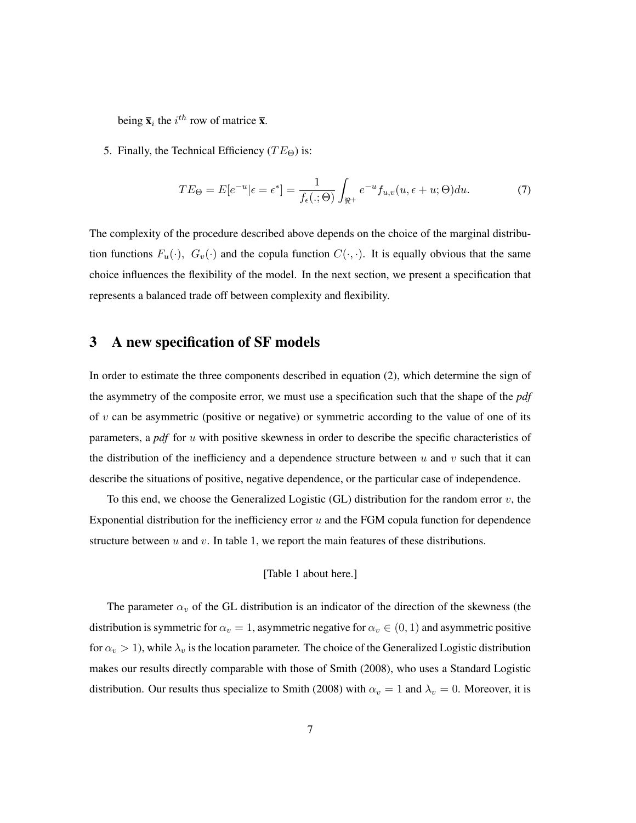being  $\bar{\mathbf{x}}_i$  the  $i^{th}$  row of matrice  $\bar{\mathbf{x}}$ .

5. Finally, the Technical Efficiency ( $TE\Theta$ ) is:

$$
TE_{\Theta} = E[e^{-u}|\epsilon = \epsilon^*] = \frac{1}{f_{\epsilon}(.;\Theta)} \int_{\Re^+} e^{-u} f_{u,v}(u,\epsilon + u;\Theta) du.
$$
 (7)

The complexity of the procedure described above depends on the choice of the marginal distribution functions  $F_u(\cdot)$ ,  $G_v(\cdot)$  and the copula function  $C(\cdot, \cdot)$ . It is equally obvious that the same choice influences the flexibility of the model. In the next section, we present a specification that represents a balanced trade off between complexity and flexibility.

## 3 A new specification of SF models

In order to estimate the three components described in equation (2), which determine the sign of the asymmetry of the composite error, we must use a specification such that the shape of the *pdf* of  $v$  can be asymmetric (positive or negative) or symmetric according to the value of one of its parameters, a *pdf* for u with positive skewness in order to describe the specific characteristics of the distribution of the inefficiency and a dependence structure between  $u$  and  $v$  such that it can describe the situations of positive, negative dependence, or the particular case of independence.

To this end, we choose the Generalized Logistic (GL) distribution for the random error  $v$ , the Exponential distribution for the inefficiency error  $u$  and the FGM copula function for dependence structure between  $u$  and  $v$ . In table 1, we report the main features of these distributions.

#### [Table 1 about here.]

The parameter  $\alpha_v$  of the GL distribution is an indicator of the direction of the skewness (the distribution is symmetric for  $\alpha_v = 1$ , asymmetric negative for  $\alpha_v \in (0, 1)$  and asymmetric positive for  $\alpha_v > 1$ ), while  $\lambda_v$  is the location parameter. The choice of the Generalized Logistic distribution makes our results directly comparable with those of Smith (2008), who uses a Standard Logistic distribution. Our results thus specialize to Smith (2008) with  $\alpha_v = 1$  and  $\lambda_v = 0$ . Moreover, it is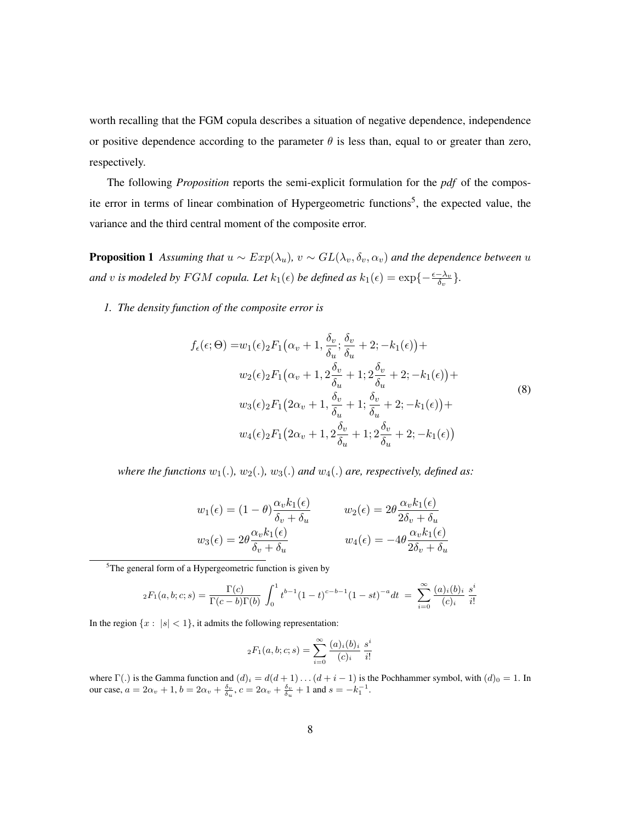worth recalling that the FGM copula describes a situation of negative dependence, independence or positive dependence according to the parameter  $\theta$  is less than, equal to or greater than zero, respectively.

The following *Proposition* reports the semi-explicit formulation for the *pdf* of the composite error in terms of linear combination of Hypergeometric functions<sup>5</sup>, the expected value, the variance and the third central moment of the composite error.

**Proposition 1** Assuming that  $u \sim Exp(\lambda_u)$ ,  $v \sim GL(\lambda_v, \delta_v, \alpha_v)$  and the dependence between u *and* v is modeled by FGM copula. Let  $k_1(\epsilon)$  be defined as  $k_1(\epsilon) = \exp\{-\frac{\epsilon - \lambda_v}{\delta_v}\}.$ 

*1. The density function of the composite error is*

$$
f_{\epsilon}(\epsilon;\Theta) = w_1(\epsilon)_2 F_1(\alpha_v+1, \frac{\delta_v}{\delta_u}; \frac{\delta_v}{\delta_u}+2; -k_1(\epsilon)) +
$$
  
\n
$$
w_2(\epsilon)_2 F_1(\alpha_v+1, 2\frac{\delta_v}{\delta_u}+1; 2\frac{\delta_v}{\delta_u}+2; -k_1(\epsilon)) +
$$
  
\n
$$
w_3(\epsilon)_2 F_1(2\alpha_v+1, \frac{\delta_v}{\delta_u}+1; \frac{\delta_v}{\delta_u}+2; -k_1(\epsilon)) +
$$
  
\n
$$
w_4(\epsilon)_2 F_1(2\alpha_v+1, 2\frac{\delta_v}{\delta_u}+1; 2\frac{\delta_v}{\delta_u}+2; -k_1(\epsilon))
$$
\n(8)

*where the functions*  $w_1(.)$ ,  $w_2(.)$ ,  $w_3(.)$  *and*  $w_4(.)$  *are, respectively, defined as:* 

$$
w_1(\epsilon) = (1 - \theta) \frac{\alpha_v k_1(\epsilon)}{\delta_v + \delta_u} \qquad w_2(\epsilon) = 2\theta \frac{\alpha_v k_1(\epsilon)}{2\delta_v + \delta_u}
$$

$$
w_3(\epsilon) = 2\theta \frac{\alpha_v k_1(\epsilon)}{\delta_v + \delta_u} \qquad w_4(\epsilon) = -4\theta \frac{\alpha_v k_1(\epsilon)}{2\delta_v + \delta_u}
$$

 $5$ The general form of a Hypergeometric function is given by

$$
{}_2F_1(a,b;c;s) = \frac{\Gamma(c)}{\Gamma(c-b)\Gamma(b)} \int_0^1 t^{b-1} (1-t)^{c-b-1} (1-st)^{-a} dt = \sum_{i=0}^{\infty} \frac{(a)_i(b)_i}{(c)_i} \frac{s^i}{i!}
$$

In the region  $\{x : |s| < 1\}$ , it admits the following representation:

$$
{}_2F_1(a, b; c; s) = \sum_{i=0}^{\infty} \frac{(a)_i(b)_i}{(c)_i} \frac{s^i}{i!}
$$

where  $\Gamma(.)$  is the Gamma function and  $(d)_i = d(d+1)\dots(d+i-1)$  is the Pochhammer symbol, with  $(d)_0 = 1$ . In our case,  $a = 2\alpha_v + 1$ ,  $b = 2\alpha_v + \frac{\delta_v}{\delta_u}$ ,  $c = 2\alpha_v + \frac{\delta_v}{\delta_u} + 1$  and  $s = -k_1^{-1}$ .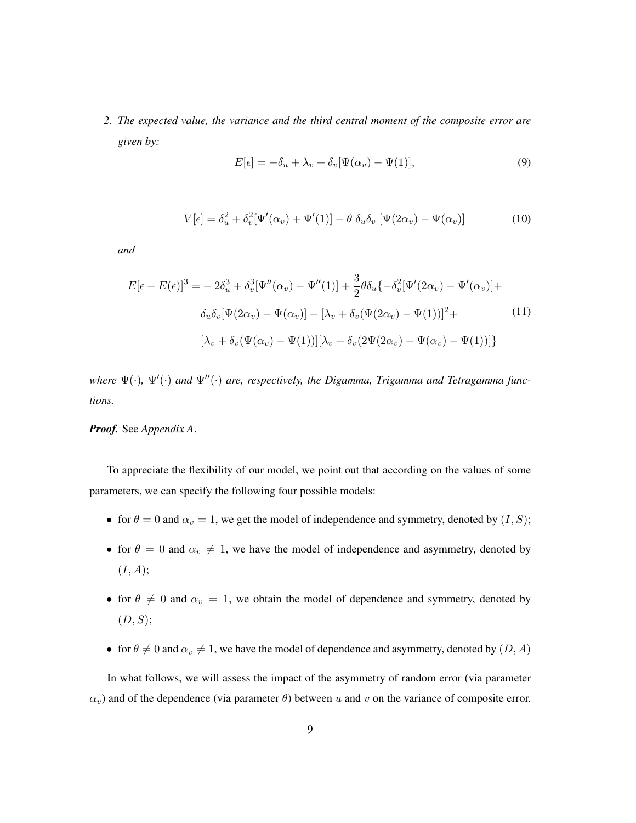*2. The expected value, the variance and the third central moment of the composite error are given by:*

$$
E[\epsilon] = -\delta_u + \lambda_v + \delta_v[\Psi(\alpha_v) - \Psi(1)],\tag{9}
$$

$$
V[\epsilon] = \delta_u^2 + \delta_v^2[\Psi'(\alpha_v) + \Psi'(1)] - \theta \delta_u \delta_v [\Psi(2\alpha_v) - \Psi(\alpha_v)] \tag{10}
$$

*and*

$$
E[\epsilon - E(\epsilon)]^3 = -2\delta_u^3 + \delta_v^3[\Psi''(\alpha_v) - \Psi''(1)] + \frac{3}{2}\theta\delta_u\{-\delta_v^2[\Psi'(2\alpha_v) - \Psi'(\alpha_v)]\} +
$$
  

$$
\delta_u\delta_v[\Psi(2\alpha_v) - \Psi(\alpha_v)] - [\lambda_v + \delta_v(\Psi(2\alpha_v) - \Psi(1))]^2 +
$$
  

$$
[\lambda_v + \delta_v(\Psi(\alpha_v) - \Psi(1))][\lambda_v + \delta_v(2\Psi(2\alpha_v) - \Psi(\alpha_v) - \Psi(1))]\}
$$
 (11)

*where*  $\Psi(\cdot)$ ,  $\Psi'(\cdot)$  and  $\Psi''(\cdot)$  are, respectively, the Digamma, Trigamma and Tetragamma func*tions.*

*Proof.* See *Appendix A*.

To appreciate the flexibility of our model, we point out that according on the values of some parameters, we can specify the following four possible models:

- for  $\theta = 0$  and  $\alpha_v = 1$ , we get the model of independence and symmetry, denoted by  $(I, S)$ ;
- for  $\theta = 0$  and  $\alpha_v \neq 1$ , we have the model of independence and asymmetry, denoted by  $(I, A);$
- for  $\theta \neq 0$  and  $\alpha_v = 1$ , we obtain the model of dependence and symmetry, denoted by  $(D, S);$
- for  $\theta \neq 0$  and  $\alpha_v \neq 1$ , we have the model of dependence and asymmetry, denoted by  $(D, A)$

In what follows, we will assess the impact of the asymmetry of random error (via parameter  $\alpha_v$ ) and of the dependence (via parameter  $\theta$ ) between u and v on the variance of composite error.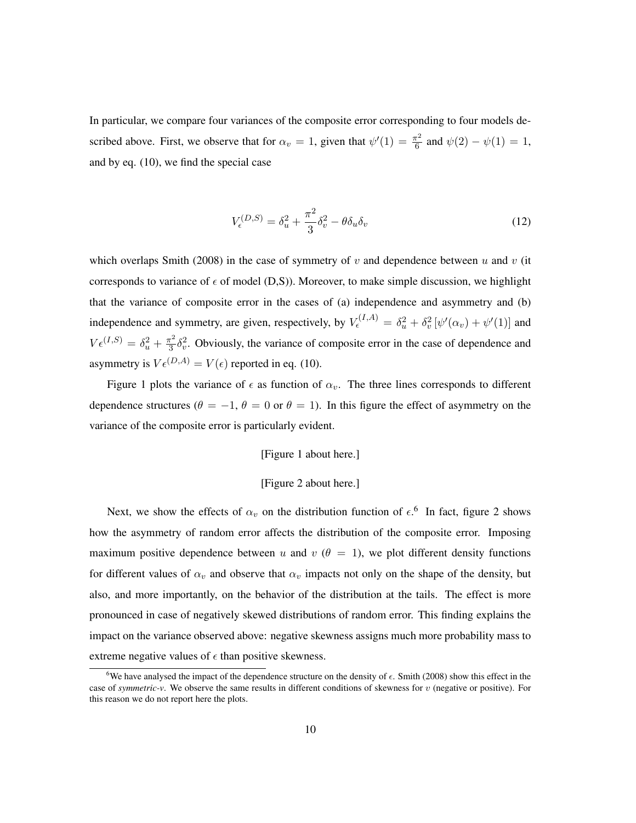In particular, we compare four variances of the composite error corresponding to four models described above. First, we observe that for  $\alpha_v = 1$ , given that  $\psi'(1) = \frac{\pi^2}{6}$  $\frac{\pi^2}{6}$  and  $\psi(2) - \psi(1) = 1$ , and by eq. (10), we find the special case

$$
V_{\epsilon}^{(D,S)} = \delta_u^2 + \frac{\pi^2}{3} \delta_v^2 - \theta \delta_u \delta_v \tag{12}
$$

which overlaps Smith (2008) in the case of symmetry of v and dependence between u and v (it corresponds to variance of  $\epsilon$  of model (D,S)). Moreover, to make simple discussion, we highlight that the variance of composite error in the cases of (a) independence and asymmetry and (b) independence and symmetry, are given, respectively, by  $V_{\epsilon}^{(I,A)} = \delta_u^2 + \delta_v^2 [\psi'(\alpha_v) + \psi'(1)]$  and  $V \epsilon^{(I,S)} = \delta_u^2 + \frac{\pi^2}{3}$  $\frac{\pi^2}{3} \delta_v^2$ . Obviously, the variance of composite error in the case of dependence and asymmetry is  $V \epsilon^{(D,A)} = V(\epsilon)$  reported in eq. (10).

Figure 1 plots the variance of  $\epsilon$  as function of  $\alpha_v$ . The three lines corresponds to different dependence structures ( $\theta = -1$ ,  $\theta = 0$  or  $\theta = 1$ ). In this figure the effect of asymmetry on the variance of the composite error is particularly evident.

#### [Figure 1 about here.]

#### [Figure 2 about here.]

Next, we show the effects of  $\alpha_v$  on the distribution function of  $\epsilon$ .<sup>6</sup> In fact, figure 2 shows how the asymmetry of random error affects the distribution of the composite error. Imposing maximum positive dependence between u and v ( $\theta = 1$ ), we plot different density functions for different values of  $\alpha_v$  and observe that  $\alpha_v$  impacts not only on the shape of the density, but also, and more importantly, on the behavior of the distribution at the tails. The effect is more pronounced in case of negatively skewed distributions of random error. This finding explains the impact on the variance observed above: negative skewness assigns much more probability mass to extreme negative values of  $\epsilon$  than positive skewness.

<sup>&</sup>lt;sup>6</sup>We have analysed the impact of the dependence structure on the density of  $\epsilon$ . Smith (2008) show this effect in the case of *symmetric-v*. We observe the same results in different conditions of skewness for v (negative or positive). For this reason we do not report here the plots.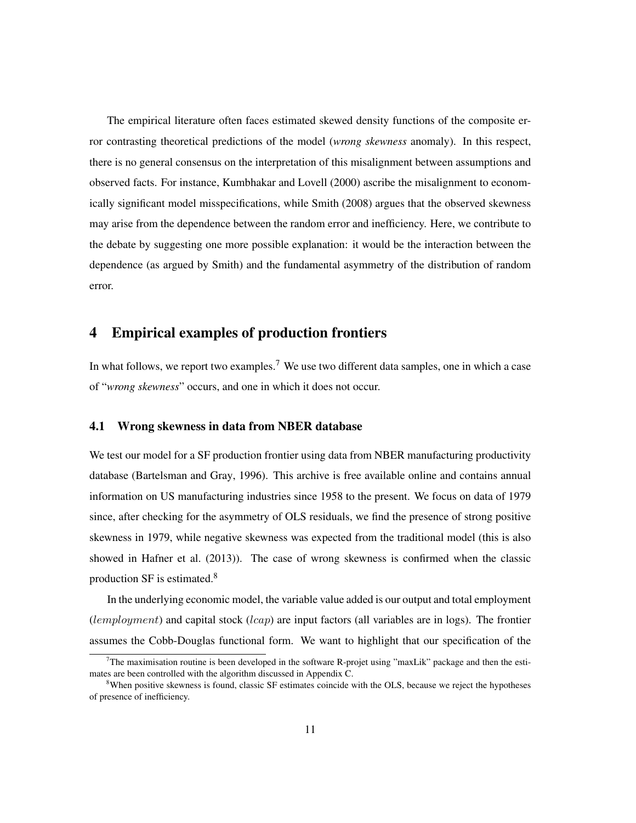The empirical literature often faces estimated skewed density functions of the composite error contrasting theoretical predictions of the model (*wrong skewness* anomaly). In this respect, there is no general consensus on the interpretation of this misalignment between assumptions and observed facts. For instance, Kumbhakar and Lovell (2000) ascribe the misalignment to economically significant model misspecifications, while Smith (2008) argues that the observed skewness may arise from the dependence between the random error and inefficiency. Here, we contribute to the debate by suggesting one more possible explanation: it would be the interaction between the dependence (as argued by Smith) and the fundamental asymmetry of the distribution of random error.

## 4 Empirical examples of production frontiers

In what follows, we report two examples.<sup>7</sup> We use two different data samples, one in which a case of "*wrong skewness*" occurs, and one in which it does not occur.

### 4.1 Wrong skewness in data from NBER database

We test our model for a SF production frontier using data from NBER manufacturing productivity database (Bartelsman and Gray, 1996). This archive is free available online and contains annual information on US manufacturing industries since 1958 to the present. We focus on data of 1979 since, after checking for the asymmetry of OLS residuals, we find the presence of strong positive skewness in 1979, while negative skewness was expected from the traditional model (this is also showed in Hafner et al. (2013)). The case of wrong skewness is confirmed when the classic production SF is estimated.<sup>8</sup>

In the underlying economic model, the variable value added is our output and total employment  $(lemployment)$  and capital stock  $(lcap)$  are input factors (all variables are in logs). The frontier assumes the Cobb-Douglas functional form. We want to highlight that our specification of the

<sup>7</sup>The maximisation routine is been developed in the software R-projet using "maxLik" package and then the estimates are been controlled with the algorithm discussed in Appendix C.

<sup>&</sup>lt;sup>8</sup>When positive skewness is found, classic SF estimates coincide with the OLS, because we reject the hypotheses of presence of inefficiency.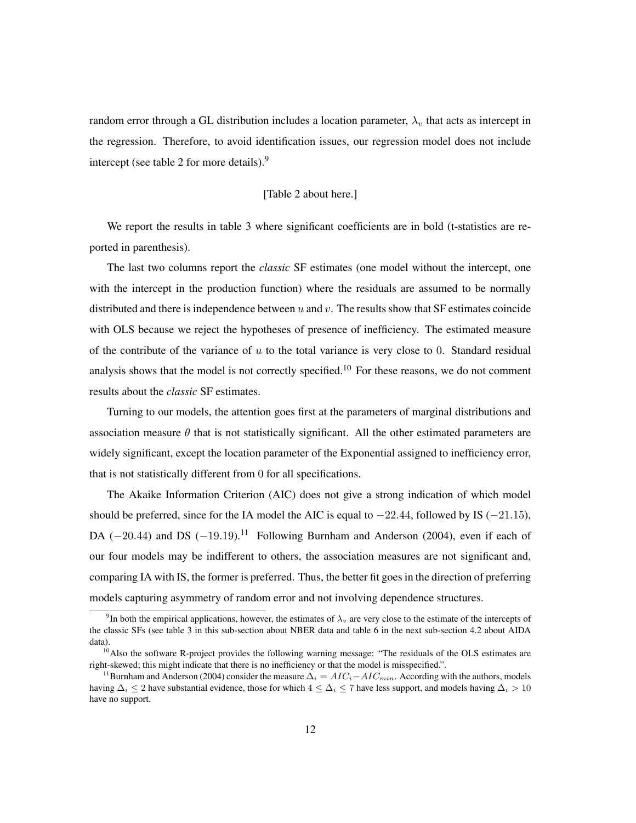random error through a GL distribution includes a location parameter,  $\lambda_v$  that acts as intercept in the regression. Therefore, to avoid identification issues, our regression model does not include intercept (see table 2 for more details).<sup>9</sup>

#### [Table 2 about here.]

We report the results in table 3 where significant coefficients are in bold (t-statistics are reported in parenthesis).

The last two columns report the *classic* SF estimates (one model without the intercept, one with the intercept in the production function) where the residuals are assumed to be normally distributed and there is independence between  $u$  and  $v$ . The results show that SF estimates coincide with OLS because we reject the hypotheses of presence of inefficiency. The estimated measure of the contribute of the variance of  $u$  to the total variance is very close to 0. Standard residual analysis shows that the model is not correctly specified.<sup>10</sup> For these reasons, we do not comment results about the *classic* SF estimates.

Turning to our models, the attention goes first at the parameters of marginal distributions and association measure  $\theta$  that is not statistically significant. All the other estimated parameters are widely significant, except the location parameter of the Exponential assigned to inefficiency error, that is not statistically different from 0 for all specifications.

The Akaike Information Criterion (AIC) does not give a strong indication of which model should be preferred, since for the IA model the AIC is equal to  $-22.44$ , followed by IS ( $-21.15$ ), DA ( $-20.44$ ) and DS ( $-19.19$ ).<sup>11</sup> Following Burnham and Anderson (2004), even if each of our four models may be indifferent to others, the association measures are not significant and, comparing IA with IS, the former is preferred. Thus, the better fit goes in the direction of preferring models capturing asymmetry of random error and not involving dependence structures.

<sup>&</sup>lt;sup>9</sup>In both the empirical applications, however, the estimates of  $\lambda_v$  are very close to the estimate of the intercepts of the classic SFs (see table 3 in this sub-section about NBER data and table 6 in the next sub-section 4.2 about AIDA data).

<sup>&</sup>lt;sup>10</sup>Also the software R-project provides the following warning message: "The residuals of the OLS estimates are right-skewed; this might indicate that there is no inefficiency or that the model is misspecified.".

<sup>&</sup>lt;sup>11</sup>Burnham and Anderson (2004) consider the measure  $\Delta_i = AIC_i - AIC_{min}$ . According with the authors, models having  $\Delta_i \le 2$  have substantial evidence, those for which  $4 \le \Delta_i \le 7$  have less support, and models having  $\Delta_i > 10$ have no support.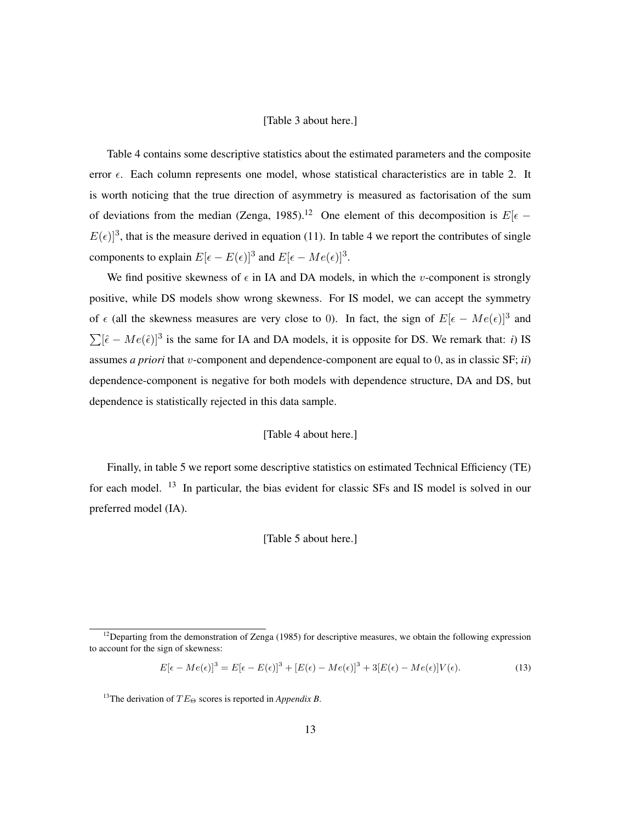#### [Table 3 about here.]

Table 4 contains some descriptive statistics about the estimated parameters and the composite error  $\epsilon$ . Each column represents one model, whose statistical characteristics are in table 2. It is worth noticing that the true direction of asymmetry is measured as factorisation of the sum of deviations from the median (Zenga, 1985).<sup>12</sup> One element of this decomposition is  $E[\epsilon -]$  $E(\epsilon)]^3$ , that is the measure derived in equation (11). In table 4 we report the contributes of single components to explain  $E[\epsilon - E(\epsilon)]^3$  and  $E[\epsilon - Me(\epsilon)]^3$ .

We find positive skewness of  $\epsilon$  in IA and DA models, in which the v-component is strongly positive, while DS models show wrong skewness. For IS model, we can accept the symmetry of  $\epsilon$  (all the skewness measures are very close to 0). In fact, the sign of  $E[\epsilon - Me(\epsilon)]^3$  and  $\sum [\hat{\epsilon} - Me(\hat{\epsilon})]^3$  is the same for IA and DA models, it is opposite for DS. We remark that: *i*) IS assumes *a priori* that v-component and dependence-component are equal to 0, as in classic SF; *ii*) dependence-component is negative for both models with dependence structure, DA and DS, but dependence is statistically rejected in this data sample.

#### [Table 4 about here.]

Finally, in table 5 we report some descriptive statistics on estimated Technical Efficiency (TE) for each model. <sup>13</sup> In particular, the bias evident for classic SFs and IS model is solved in our preferred model (IA).

#### [Table 5 about here.]

$$
E[\epsilon - Me(\epsilon)]^3 = E[\epsilon - E(\epsilon)]^3 + [E(\epsilon) - Me(\epsilon)]^3 + 3[E(\epsilon) - Me(\epsilon)]V(\epsilon).
$$
\n(13)

<sup>&</sup>lt;sup>12</sup>Departing from the demonstration of Zenga (1985) for descriptive measures, we obtain the following expression to account for the sign of skewness:

<sup>&</sup>lt;sup>13</sup>The derivation of  $TE_{\Theta}$  scores is reported in *Appendix B*.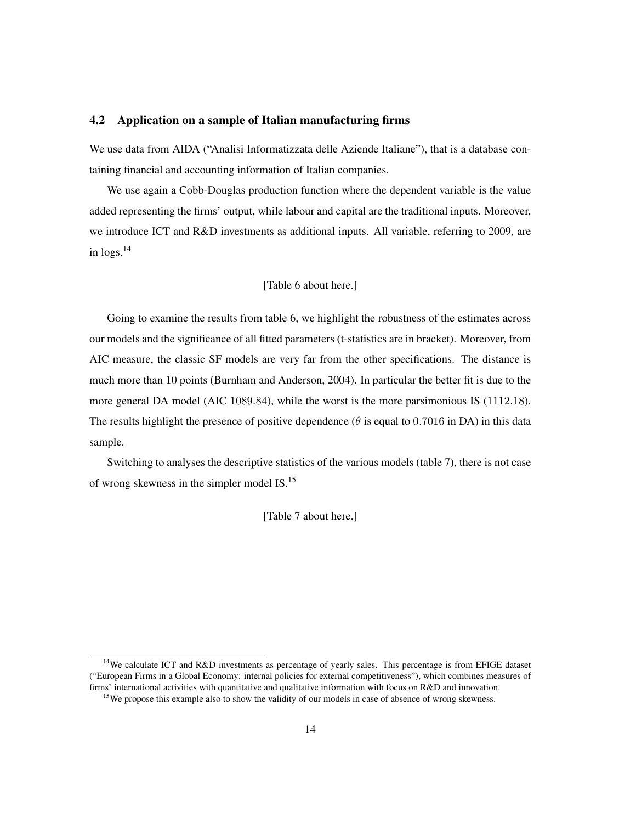#### 4.2 Application on a sample of Italian manufacturing firms

We use data from AIDA ("Analisi Informatizzata delle Aziende Italiane"), that is a database containing financial and accounting information of Italian companies.

We use again a Cobb-Douglas production function where the dependent variable is the value added representing the firms' output, while labour and capital are the traditional inputs. Moreover, we introduce ICT and R&D investments as additional inputs. All variable, referring to 2009, are in  $\log s$ <sup>14</sup>

#### [Table 6 about here.]

Going to examine the results from table 6, we highlight the robustness of the estimates across our models and the significance of all fitted parameters (t-statistics are in bracket). Moreover, from AIC measure, the classic SF models are very far from the other specifications. The distance is much more than 10 points (Burnham and Anderson, 2004). In particular the better fit is due to the more general DA model (AIC 1089.84), while the worst is the more parsimonious IS (1112.18). The results highlight the presence of positive dependence ( $\theta$  is equal to 0.7016 in DA) in this data sample.

Switching to analyses the descriptive statistics of the various models (table 7), there is not case of wrong skewness in the simpler model IS.<sup>15</sup>

[Table 7 about here.]

<sup>14</sup>We calculate ICT and R&D investments as percentage of yearly sales. This percentage is from EFIGE dataset ("European Firms in a Global Economy: internal policies for external competitiveness"), which combines measures of firms' international activities with quantitative and qualitative information with focus on R&D and innovation.

<sup>&</sup>lt;sup>15</sup>We propose this example also to show the validity of our models in case of absence of wrong skewness.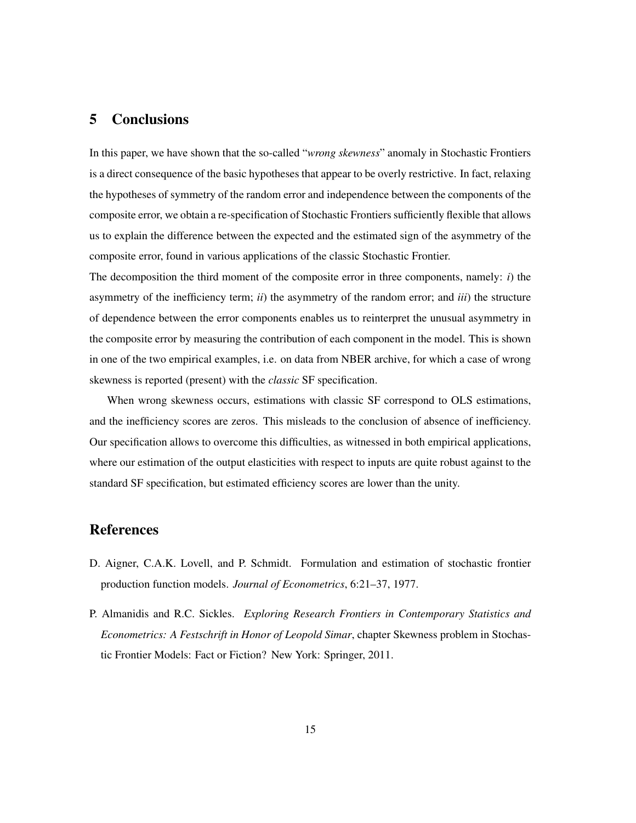## 5 Conclusions

In this paper, we have shown that the so-called "*wrong skewness*" anomaly in Stochastic Frontiers is a direct consequence of the basic hypotheses that appear to be overly restrictive. In fact, relaxing the hypotheses of symmetry of the random error and independence between the components of the composite error, we obtain a re-specification of Stochastic Frontiers sufficiently flexible that allows us to explain the difference between the expected and the estimated sign of the asymmetry of the composite error, found in various applications of the classic Stochastic Frontier.

The decomposition the third moment of the composite error in three components, namely: *i*) the asymmetry of the inefficiency term; *ii*) the asymmetry of the random error; and *iii*) the structure of dependence between the error components enables us to reinterpret the unusual asymmetry in the composite error by measuring the contribution of each component in the model. This is shown in one of the two empirical examples, i.e. on data from NBER archive, for which a case of wrong skewness is reported (present) with the *classic* SF specification.

When wrong skewness occurs, estimations with classic SF correspond to OLS estimations, and the inefficiency scores are zeros. This misleads to the conclusion of absence of inefficiency. Our specification allows to overcome this difficulties, as witnessed in both empirical applications, where our estimation of the output elasticities with respect to inputs are quite robust against to the standard SF specification, but estimated efficiency scores are lower than the unity.

### References

- D. Aigner, C.A.K. Lovell, and P. Schmidt. Formulation and estimation of stochastic frontier production function models. *Journal of Econometrics*, 6:21–37, 1977.
- P. Almanidis and R.C. Sickles. *Exploring Research Frontiers in Contemporary Statistics and Econometrics: A Festschrift in Honor of Leopold Simar*, chapter Skewness problem in Stochastic Frontier Models: Fact or Fiction? New York: Springer, 2011.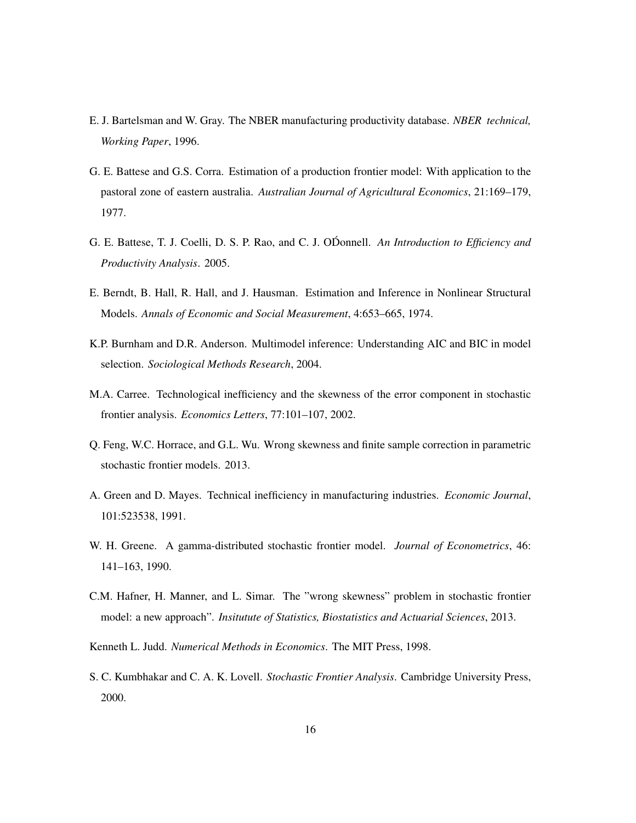- E. J. Bartelsman and W. Gray. The NBER manufacturing productivity database. *NBER technical, Working Paper*, 1996.
- G. E. Battese and G.S. Corra. Estimation of a production frontier model: With application to the pastoral zone of eastern australia. *Australian Journal of Agricultural Economics*, 21:169–179, 1977.
- G. E. Battese, T. J. Coelli, D. S. P. Rao, and C. J. ODonnell. ´ *An Introduction to Efficiency and Productivity Analysis*. 2005.
- E. Berndt, B. Hall, R. Hall, and J. Hausman. Estimation and Inference in Nonlinear Structural Models. *Annals of Economic and Social Measurement*, 4:653–665, 1974.
- K.P. Burnham and D.R. Anderson. Multimodel inference: Understanding AIC and BIC in model selection. *Sociological Methods Research*, 2004.
- M.A. Carree. Technological inefficiency and the skewness of the error component in stochastic frontier analysis. *Economics Letters*, 77:101–107, 2002.
- Q. Feng, W.C. Horrace, and G.L. Wu. Wrong skewness and finite sample correction in parametric stochastic frontier models. 2013.
- A. Green and D. Mayes. Technical inefficiency in manufacturing industries. *Economic Journal*, 101:523538, 1991.
- W. H. Greene. A gamma-distributed stochastic frontier model. *Journal of Econometrics*, 46: 141–163, 1990.
- C.M. Hafner, H. Manner, and L. Simar. The "wrong skewness" problem in stochastic frontier model: a new approach". *Insitutute of Statistics, Biostatistics and Actuarial Sciences*, 2013.
- Kenneth L. Judd. *Numerical Methods in Economics*. The MIT Press, 1998.
- S. C. Kumbhakar and C. A. K. Lovell. *Stochastic Frontier Analysis*. Cambridge University Press, 2000.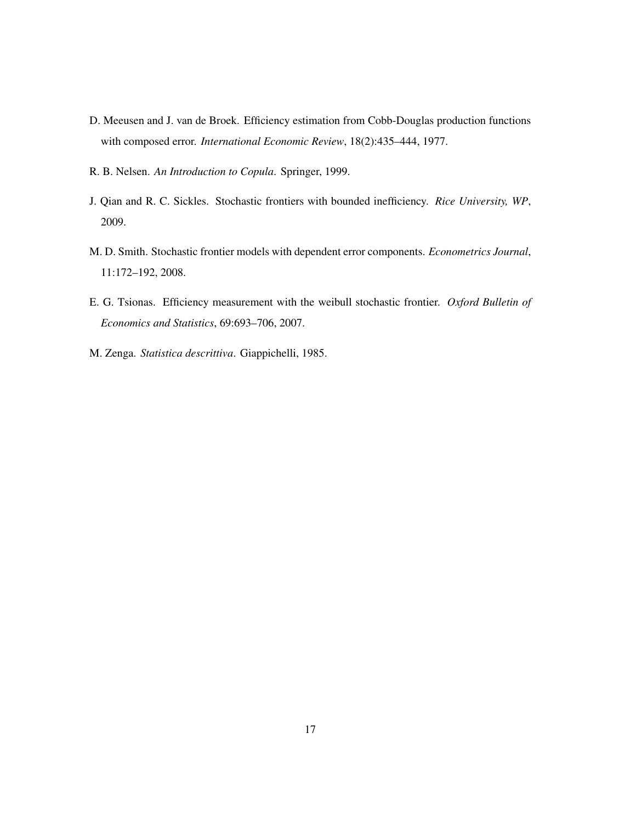- D. Meeusen and J. van de Broek. Efficiency estimation from Cobb-Douglas production functions with composed error. *International Economic Review*, 18(2):435–444, 1977.
- R. B. Nelsen. *An Introduction to Copula*. Springer, 1999.
- J. Qian and R. C. Sickles. Stochastic frontiers with bounded inefficiency. *Rice University, WP*, 2009.
- M. D. Smith. Stochastic frontier models with dependent error components. *Econometrics Journal*, 11:172–192, 2008.
- E. G. Tsionas. Efficiency measurement with the weibull stochastic frontier. *Oxford Bulletin of Economics and Statistics*, 69:693–706, 2007.
- M. Zenga. *Statistica descrittiva*. Giappichelli, 1985.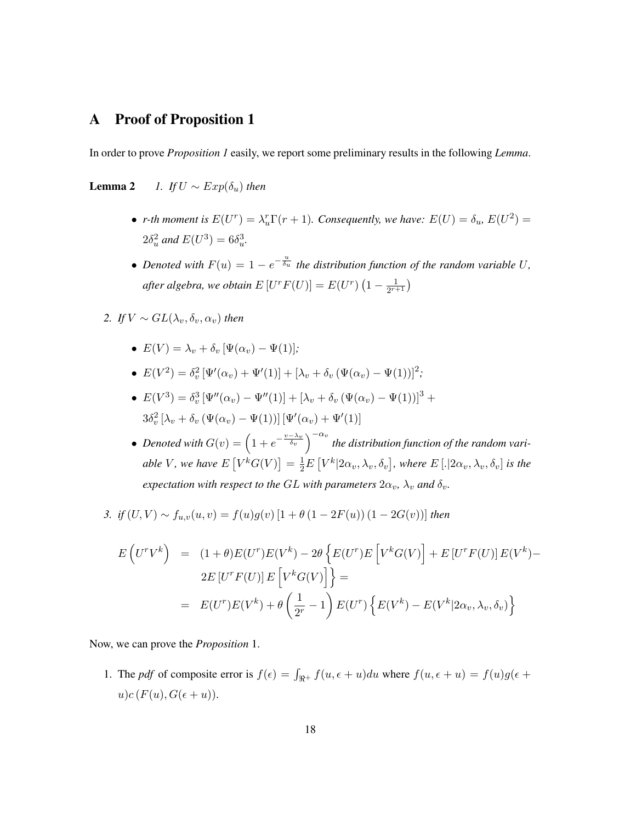## A Proof of Proposition 1

In order to prove *Proposition 1* easily, we report some preliminary results in the following *Lemma*.

**Lemma 2** *1. If*  $U \sim Exp(\delta_u)$  *then* 

- *r*-th moment is  $E(U^r) = \lambda_u^r \Gamma(r+1)$ . Consequently, we have:  $E(U) = \delta_u$ ,  $E(U^2) =$  $2\delta_u^2$  and  $E(U^3) = 6\delta_u^3$ .
- Denoted with  $F(u) = 1 e^{-\frac{u}{\delta_u}}$  the distribution function of the random variable U, after algebra, we obtain  $E\left[U^rF(U)\right]=E(U^r)\left(1-\frac{1}{2^{r+1}}\right)$  $\frac{1}{2^{r+1}}$
- *2. If*  $V \sim GL(\lambda_n, \delta_n, \alpha_n)$  *then* 
	- $E(V) = \lambda_v + \delta_v [\Psi(\alpha_v) \Psi(1)]$ ;
	- $E(V^2) = \delta_v^2 [\Psi'(\alpha_v) + \Psi'(1)] + [\lambda_v + \delta_v (\Psi(\alpha_v) \Psi(1))]^2;$
	- $E(V^3) = \delta_v^3 [\Psi''(\alpha_v) \Psi''(1)] + [\lambda_v + \delta_v (\Psi(\alpha_v) \Psi(1))]^3 +$  $3\delta_v^2\left[\lambda_v + \delta_v \left(\Psi(\alpha_v) - \Psi(1)\right)\right] \left[\Psi'(\alpha_v) + \Psi'(1)\right]$
	- Denoted with  $G(v) = \left(1 + e^{-\frac{v \lambda_v}{\delta_v}}\right)^{-\alpha_v}$  the distribution function of the random variable V, we have  $E[V^k G(V)] = \frac{1}{2}E[V^k|2\alpha_v, \lambda_v, \delta_v]$ , where  $E[.]2\alpha_v, \lambda_v, \delta_v]$  is the *expectation with respect to the GL with parameters*  $2\alpha_v$ ,  $\lambda_v$  *and*  $\delta_v$ .

*3. if*  $(U, V)$  ∼  $f_{u,v}(u, v) = f(u)g(v)$  [1 +  $\theta$  (1 − 2F(u)) (1 − 2G(v))] *then* 

$$
E\left(U^{r}V^{k}\right) = (1+\theta)E(U^{r})E(V^{k}) - 2\theta\left\{E(U^{r})E\left[V^{k}G(V)\right] + E\left[U^{r}F(U)\right]E(V^{k}) - 2E\left[U^{r}F(U)\right]E\left[V^{k}G(V)\right]\right\} =
$$
  

$$
= E(U^{r})E(V^{k}) + \theta\left(\frac{1}{2^{r}} - 1\right)E(U^{r})\left\{E(V^{k}) - E(V^{k}|2\alpha_{v}, \lambda_{v}, \delta_{v})\right\}
$$

Now, we can prove the *Proposition* 1.

1. The *pdf* of composite error is  $f(\epsilon) = \int_{\Re^+} f(u, \epsilon + u) du$  where  $f(u, \epsilon + u) = f(u)g(\epsilon + u)$  $u)c(F(u), G(\epsilon+u)).$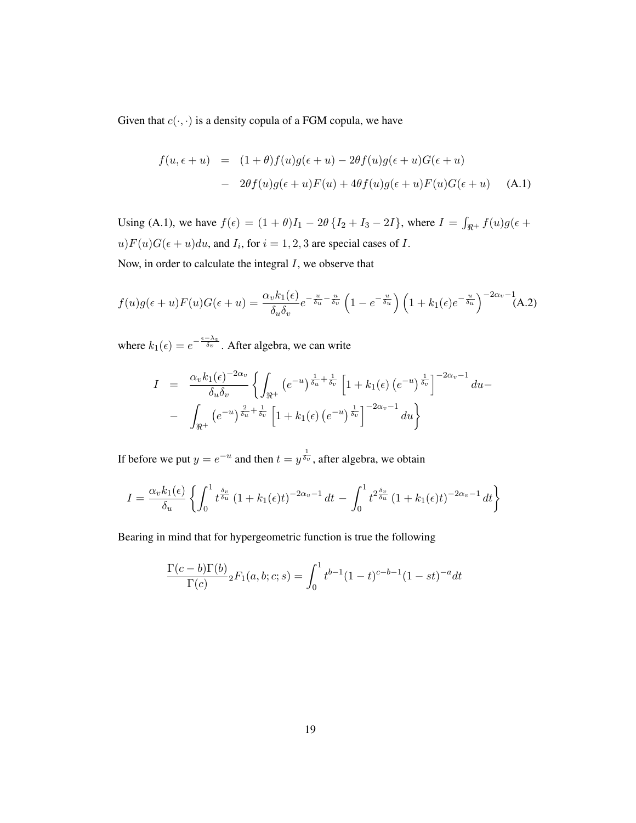Given that  $c(\cdot, \cdot)$  is a density copula of a FGM copula, we have

$$
f(u, \epsilon + u) = (1 + \theta)f(u)g(\epsilon + u) - 2\theta f(u)g(\epsilon + u)G(\epsilon + u)
$$
  
- 
$$
2\theta f(u)g(\epsilon + u)F(u) + 4\theta f(u)g(\epsilon + u)F(u)G(\epsilon + u)
$$
 (A.1)

Using (A.1), we have  $f(\epsilon) = (1 + \theta)I_1 - 2\theta \{I_2 + I_3 - 2I\}$ , where  $I = \int_{\Re^+} f(u)g(\epsilon +$  $u)F(u)G(\epsilon+u)du$ , and  $I_i$ , for  $i=1,2,3$  are special cases of I. Now, in order to calculate the integral  $I$ , we observe that

$$
f(u)g(\epsilon+u)F(u)G(\epsilon+u) = \frac{\alpha_v k_1(\epsilon)}{\delta_u \delta_v} e^{-\frac{u}{\delta_u} - \frac{u}{\delta_v}} \left(1 - e^{-\frac{u}{\delta_u}}\right) \left(1 + k_1(\epsilon)e^{-\frac{u}{\delta_u}}\right)^{-2\alpha_v - 1}(A.2)
$$

where  $k_1(\epsilon) = e^{-\frac{\epsilon - \lambda_v}{\delta_v}}$ . After algebra, we can write

$$
I = \frac{\alpha_v k_1(\epsilon)^{-2\alpha_v}}{\delta_u \delta_v} \left\{ \int_{\Re^+} \left( e^{-u} \right)^{\frac{1}{\delta_u} + \frac{1}{\delta_v}} \left[ 1 + k_1(\epsilon) \left( e^{-u} \right)^{\frac{1}{\delta_v}} \right]^{-2\alpha_v - 1} du - \right.
$$
  
- 
$$
\int_{\Re^+} \left( e^{-u} \right)^{\frac{2}{\delta_u} + \frac{1}{\delta_v}} \left[ 1 + k_1(\epsilon) \left( e^{-u} \right)^{\frac{1}{\delta_v}} \right]^{-2\alpha_v - 1} du \right\}
$$

If before we put  $y = e^{-u}$  and then  $t = y^{\frac{1}{\delta_v}}$ , after algebra, we obtain

$$
I = \frac{\alpha_v k_1(\epsilon)}{\delta_u} \left\{ \int_0^1 t^{\frac{\delta_v}{\delta_u}} \left(1 + k_1(\epsilon)t\right)^{-2\alpha_v - 1} dt - \int_0^1 t^{2\frac{\delta_v}{\delta_u}} \left(1 + k_1(\epsilon)t\right)^{-2\alpha_v - 1} dt \right\}
$$

Bearing in mind that for hypergeometric function is true the following

$$
\frac{\Gamma(c-b)\Gamma(b)}{\Gamma(c)} {}_2F_1(a,b;c;s) = \int_0^1 t^{b-1}(1-t)^{c-b-1}(1-st)^{-a}dt
$$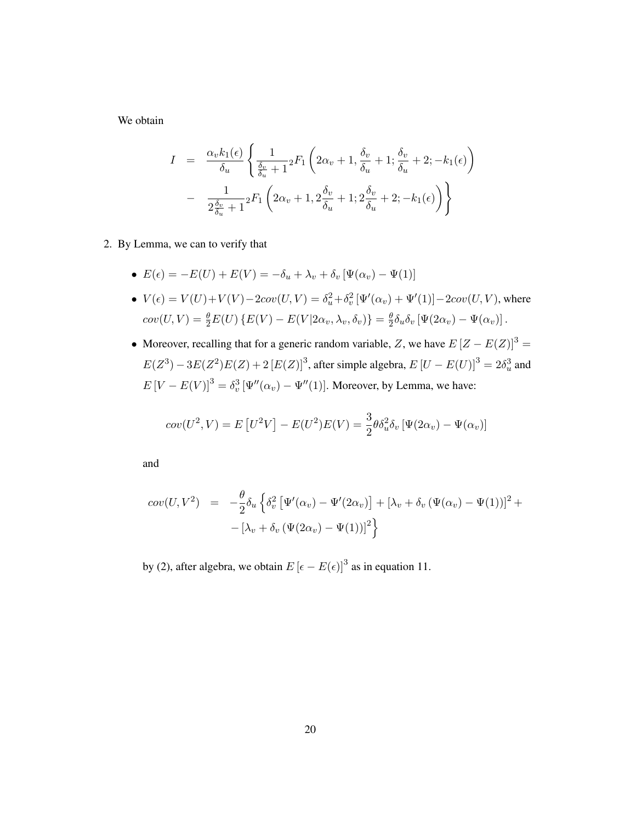We obtain

$$
I = \frac{\alpha_v k_1(\epsilon)}{\delta_u} \left\{ \frac{1}{\frac{\delta_v}{\delta_u} + 1} {}_2F_1 \left( 2\alpha_v + 1, \frac{\delta_v}{\delta_u} + 1; \frac{\delta_v}{\delta_u} + 2; -k_1(\epsilon) \right) - \frac{1}{2\frac{\delta_v}{\delta_u} + 1} {}_2F_1 \left( 2\alpha_v + 1, 2\frac{\delta_v}{\delta_u} + 1; 2\frac{\delta_v}{\delta_u} + 2; -k_1(\epsilon) \right) \right\}
$$

- 2. By Lemma, we can to verify that
	- $E(\epsilon) = -E(U) + E(V) = -\delta_u + \lambda_v + \delta_v [\Psi(\alpha_v) \Psi(1)]$
	- $V(\epsilon) = V(U) + V(V) 2cov(U, V) = \delta_u^2 + \delta_v^2 [\Psi'(\alpha_v) + \Psi'(1)] 2cov(U, V)$ , where  $cov(U, V) = \frac{\theta}{2}E(U)\{E(V) - E(V|2\alpha_v, \lambda_v, \delta_v)\} = \frac{\theta}{2}$  $\frac{\theta}{2}\delta_u\delta_v\left[\Psi(2\alpha_v)-\Psi(\alpha_v)\right].$
	- Moreover, recalling that for a generic random variable, Z, we have  $E[Z E(Z)]^3 =$  $E(Z^3) - 3E(Z^2)E(Z) + 2[E(Z)]^3$ , after simple algebra,  $E[U - E(U)]^3 = 2\delta_u^3$  and  $E[V - E(V)]^3 = \delta_v^3 \left[ \Psi''(\alpha_v) - \Psi''(1) \right]$ . Moreover, by Lemma, we have:

$$
cov(U^2, V) = E[U^2V] - E(U^2)E(V) = \frac{3}{2}\theta \delta_u^2 \delta_v [\Psi(2\alpha_v) - \Psi(\alpha_v)]
$$

and

$$
cov(U, V^2) = -\frac{\theta}{2}\delta_u \left\{ \delta_v^2 \left[ \Psi'(\alpha_v) - \Psi'(2\alpha_v) \right] + \left[ \lambda_v + \delta_v \left( \Psi(\alpha_v) - \Psi(1) \right) \right]^2 + \right.
$$
  

$$
- \left[ \lambda_v + \delta_v \left( \Psi(2\alpha_v) - \Psi(1) \right) \right]^2 \right\}
$$

by (2), after algebra, we obtain  $E\left[\epsilon - E(\epsilon)\right]^3$  as in equation 11.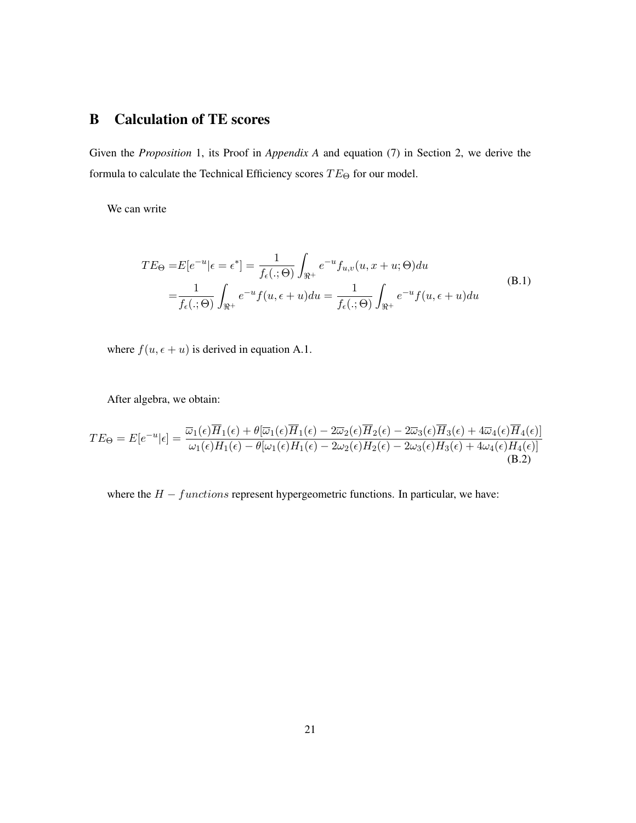## B Calculation of TE scores

Given the *Proposition* 1, its Proof in *Appendix A* and equation (7) in Section 2, we derive the formula to calculate the Technical Efficiency scores  $TE_{\Theta}$  for our model.

We can write

$$
TE_{\Theta} = E[e^{-u}|\epsilon = \epsilon^*] = \frac{1}{f_{\epsilon}(.;\Theta)} \int_{\Re^+} e^{-u} f_{u,v}(u, x + u; \Theta) du
$$
  
= 
$$
\frac{1}{f_{\epsilon}(.;\Theta)} \int_{\Re^+} e^{-u} f(u, \epsilon + u) du = \frac{1}{f_{\epsilon}(.;\Theta)} \int_{\Re^+} e^{-u} f(u, \epsilon + u) du
$$
 (B.1)

where  $f(u, \epsilon + u)$  is derived in equation A.1.

After algebra, we obtain:

$$
TE_{\Theta} = E[e^{-u}|\epsilon] = \frac{\overline{\omega}_{1}(\epsilon)H_{1}(\epsilon) + \theta[\overline{\omega}_{1}(\epsilon)H_{1}(\epsilon) - 2\overline{\omega}_{2}(\epsilon)H_{2}(\epsilon) - 2\overline{\omega}_{3}(\epsilon)H_{3}(\epsilon) + 4\overline{\omega}_{4}(\epsilon)H_{4}(\epsilon)]}{\omega_{1}(\epsilon)H_{1}(\epsilon) - \theta[\omega_{1}(\epsilon)H_{1}(\epsilon) - 2\omega_{2}(\epsilon)H_{2}(\epsilon) - 2\omega_{3}(\epsilon)H_{3}(\epsilon) + 4\omega_{4}(\epsilon)H_{4}(\epsilon)]}
$$
\n(B.2)

where the  $H - functions$  represent hypergeometric functions. In particular, we have: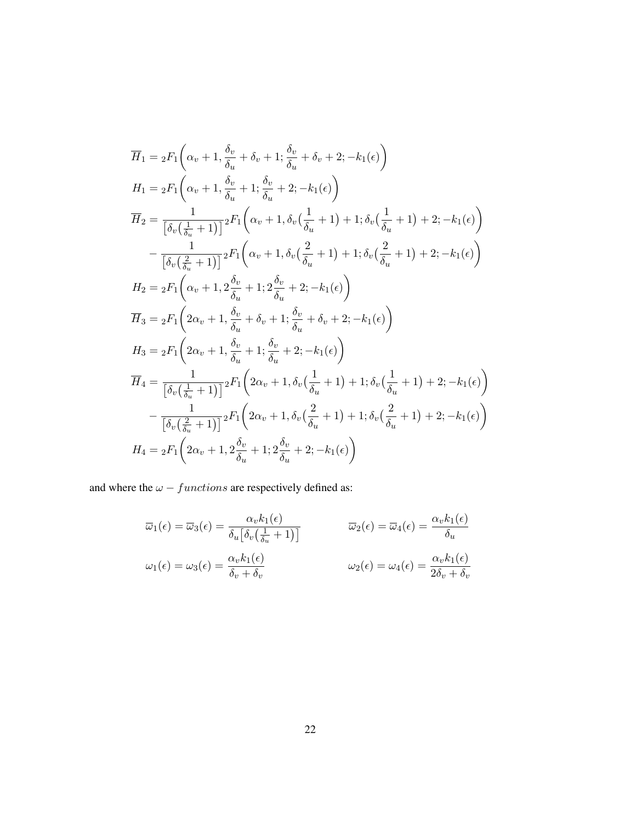$$
\overline{H}_{1} = {}_{2}F_{1}\left(\alpha_{v}+1, \frac{\delta_{v}}{\delta_{u}}+\delta_{v}+1; \frac{\delta_{v}}{\delta_{u}}+\delta_{v}+2; -k_{1}(\epsilon)\right)
$$
\n
$$
H_{1} = {}_{2}F_{1}\left(\alpha_{v}+1, \frac{\delta_{v}}{\delta_{u}}+1; \frac{\delta_{v}}{\delta_{u}}+2; -k_{1}(\epsilon)\right)
$$
\n
$$
\overline{H}_{2} = \frac{1}{\left[\delta_{v}\left(\frac{1}{\delta_{u}}+1\right)\right]} {}_{2}F_{1}\left(\alpha_{v}+1, \delta_{v}\left(\frac{1}{\delta_{u}}+1\right)+1; \delta_{v}\left(\frac{1}{\delta_{u}}+1\right)+2; -k_{1}(\epsilon)\right)
$$
\n
$$
-\frac{1}{\left[\delta_{v}\left(\frac{2}{\delta_{u}}+1\right)\right]} {}_{2}F_{1}\left(\alpha_{v}+1, \delta_{v}\left(\frac{2}{\delta_{u}}+1\right)+1; \delta_{v}\left(\frac{2}{\delta_{u}}+1\right)+2; -k_{1}(\epsilon)\right)
$$
\n
$$
H_{2} = {}_{2}F_{1}\left(\alpha_{v}+1, 2\frac{\delta_{v}}{\delta_{u}}+1; 2\frac{\delta_{v}}{\delta_{u}}+2; -k_{1}(\epsilon)\right)
$$
\n
$$
\overline{H}_{3} = {}_{2}F_{1}\left(2\alpha_{v}+1, \frac{\delta_{v}}{\delta_{u}}+\delta_{v}+1; \frac{\delta_{v}}{\delta_{u}}+\delta_{v}+2; -k_{1}(\epsilon)\right)
$$
\n
$$
H_{3} = {}_{2}F_{1}\left(2\alpha_{v}+1, \frac{\delta_{v}}{\delta_{u}}+1; \frac{\delta_{v}}{\delta_{u}}+2; -k_{1}(\epsilon)\right)
$$
\n
$$
\overline{H}_{4} = \frac{1}{\left[\delta_{v}\left(\frac{1}{\delta_{u}}+1\right)\right]} {}_{2}F_{1}\left(2\alpha_{v}+1, \delta_{v}\left(\frac{1}{\delta_{u}}+1\right)+1; \delta_{v}\left(\frac{1}{\delta_{u}}+1\right)+2; -k_{1}(\epsilon)\right)
$$
\n
$$
-\frac{1}{\left[\delta_{v}\left(\frac{
$$

and where the  $\omega$   $functions$  are respectively defined as:

$$
\overline{\omega}_1(\epsilon) = \overline{\omega}_3(\epsilon) = \frac{\alpha_v k_1(\epsilon)}{\delta_u \left[\delta_v \left(\frac{1}{\delta_u} + 1\right)\right]}
$$
\n
$$
\overline{\omega}_2(\epsilon) = \overline{\omega}_4(\epsilon) = \frac{\alpha_v k_1(\epsilon)}{\delta_u}
$$
\n
$$
\omega_1(\epsilon) = \omega_3(\epsilon) = \frac{\alpha_v k_1(\epsilon)}{\delta_v + \delta_v}
$$
\n
$$
\omega_2(\epsilon) = \omega_4(\epsilon) = \frac{\alpha_v k_1(\epsilon)}{2\delta_v + \delta_v}
$$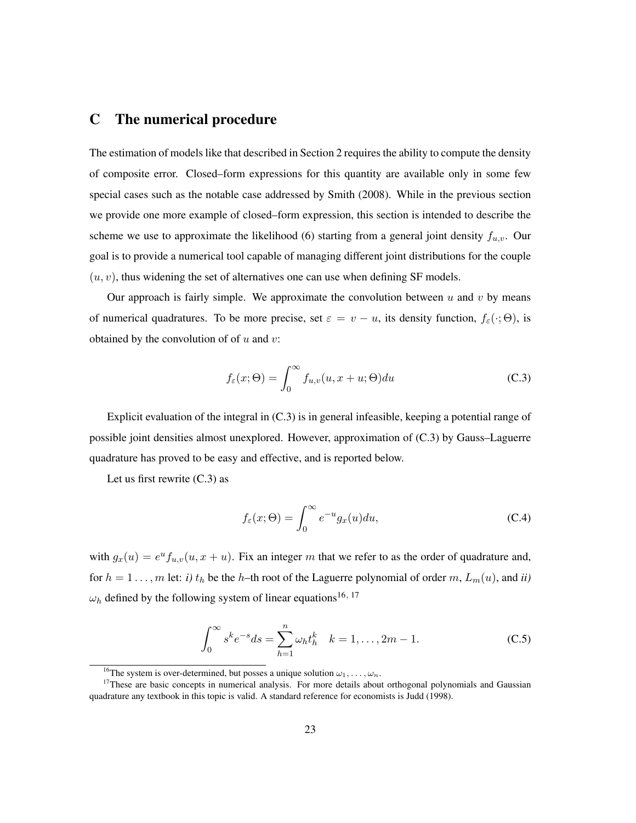## C The numerical procedure

The estimation of models like that described in Section 2 requires the ability to compute the density of composite error. Closed–form expressions for this quantity are available only in some few special cases such as the notable case addressed by Smith (2008). While in the previous section we provide one more example of closed–form expression, this section is intended to describe the scheme we use to approximate the likelihood (6) starting from a general joint density  $f_{u,v}$ . Our goal is to provide a numerical tool capable of managing different joint distributions for the couple  $(u, v)$ , thus widening the set of alternatives one can use when defining SF models.

Our approach is fairly simple. We approximate the convolution between  $u$  and  $v$  by means of numerical quadratures. To be more precise, set  $\varepsilon = v - u$ , its density function,  $f_{\varepsilon}(\cdot; \Theta)$ , is obtained by the convolution of of  $u$  and  $v$ :

$$
f_{\varepsilon}(x;\Theta) = \int_0^\infty f_{u,v}(u, x + u; \Theta) du
$$
 (C.3)

Explicit evaluation of the integral in (C.3) is in general infeasible, keeping a potential range of possible joint densities almost unexplored. However, approximation of (C.3) by Gauss–Laguerre quadrature has proved to be easy and effective, and is reported below.

Let us first rewrite  $(C.3)$  as

$$
f_{\varepsilon}(x;\Theta) = \int_0^\infty e^{-u} g_x(u) du,
$$
 (C.4)

with  $g_x(u) = e^u f_{u,v}(u, x + u)$ . Fix an integer m that we refer to as the order of quadrature and, for  $h = 1 \ldots, m$  let: *i*)  $t_h$  be the h–th root of the Laguerre polynomial of order m,  $L_m(u)$ , and *ii*)  $\omega_h$  defined by the following system of linear equations<sup>16, 17</sup>

$$
\int_0^\infty s^k e^{-s} ds = \sum_{h=1}^n \omega_h t_h^k \quad k = 1, \dots, 2m - 1.
$$
 (C.5)

<sup>&</sup>lt;sup>16</sup>The system is over-determined, but posses a unique solution  $\omega_1, \ldots, \omega_n$ .

<sup>&</sup>lt;sup>17</sup>These are basic concepts in numerical analysis. For more details about orthogonal polynomials and Gaussian quadrature any textbook in this topic is valid. A standard reference for economists is Judd (1998).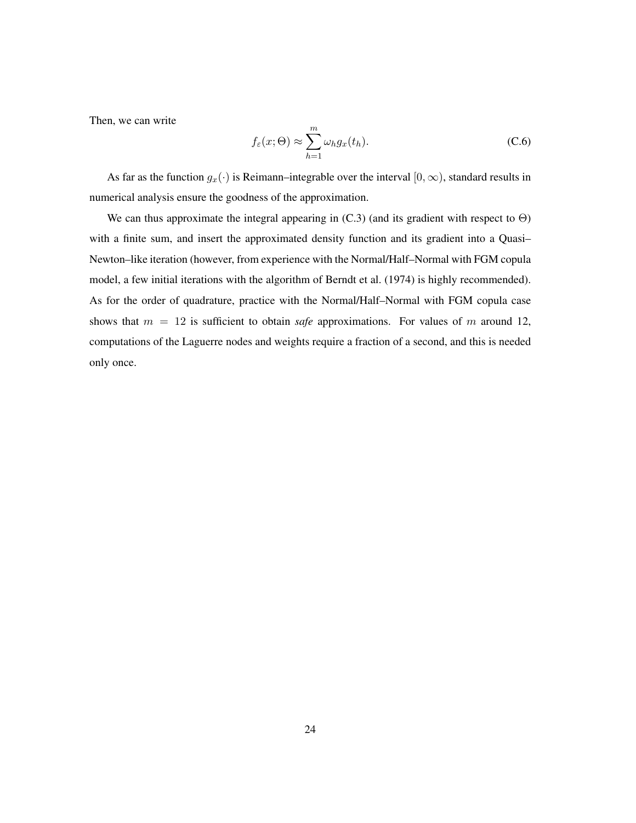Then, we can write

$$
f_{\varepsilon}(x;\Theta) \approx \sum_{h=1}^{m} \omega_h g_x(t_h).
$$
 (C.6)

As far as the function  $g_x(\cdot)$  is Reimann–integrable over the interval  $[0, \infty)$ , standard results in numerical analysis ensure the goodness of the approximation.

We can thus approximate the integral appearing in  $(C.3)$  (and its gradient with respect to  $\Theta$ ) with a finite sum, and insert the approximated density function and its gradient into a Quasi– Newton–like iteration (however, from experience with the Normal/Half–Normal with FGM copula model, a few initial iterations with the algorithm of Berndt et al. (1974) is highly recommended). As for the order of quadrature, practice with the Normal/Half–Normal with FGM copula case shows that  $m = 12$  is sufficient to obtain *safe* approximations. For values of m around 12, computations of the Laguerre nodes and weights require a fraction of a second, and this is needed only once.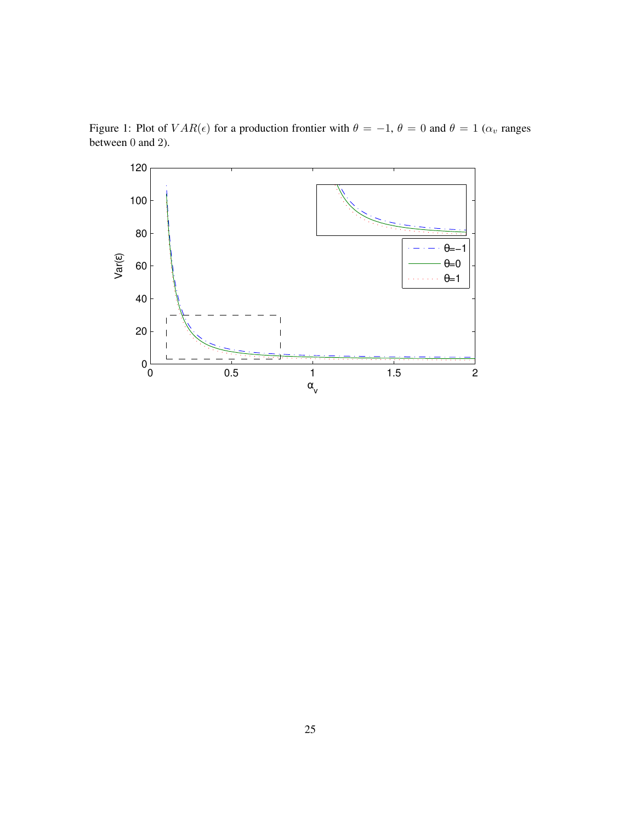

Figure 1: Plot of  $VAR(\epsilon)$  for a production frontier with  $\theta = -1$ ,  $\theta = 0$  and  $\theta = 1$  ( $\alpha_v$  ranges between 0 and 2).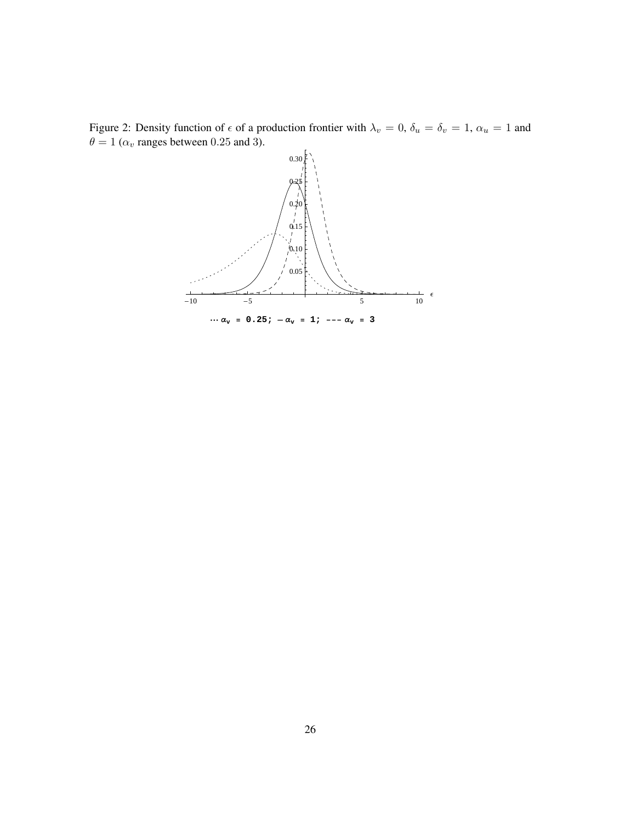

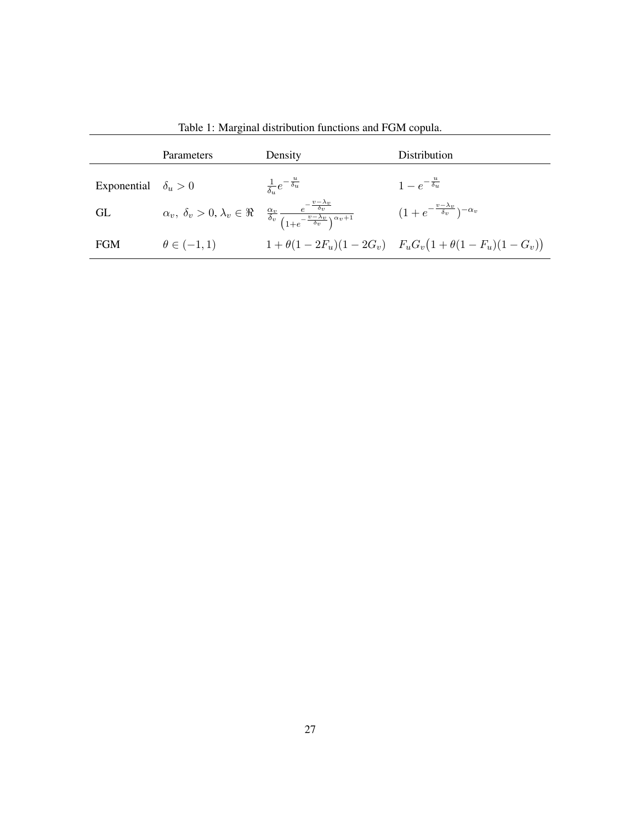|                            | Parameters          | Density                                                                                                                                                                                 | Distribution                                                            |
|----------------------------|---------------------|-----------------------------------------------------------------------------------------------------------------------------------------------------------------------------------------|-------------------------------------------------------------------------|
| Exponential $\delta_u > 0$ |                     | $\frac{1}{\delta}e^{-\frac{u}{\delta_u}}$                                                                                                                                               | $1-e^{-\frac{u}{\delta_u}}$                                             |
| GL                         |                     | $\alpha_v, \ \delta_v > 0, \lambda_v \in \Re \quad \frac{\alpha_v}{\delta_v} \frac{e^{-\frac{v-\lambda_v}{\delta_v}}}{\left(1 + e^{-\frac{v-\lambda_v}{\delta_v}}\right)^{\alpha_v+1}}$ | $(1+e^{-\frac{v-\lambda_v}{\delta_v}})^{-\alpha_v}$                     |
| <b>FGM</b>                 | $\theta \in (-1,1)$ |                                                                                                                                                                                         | $1 + \theta(1 - 2F_u)(1 - 2G_v)$ $F_uG_v(1 + \theta(1 - F_u)(1 - G_v))$ |

Table 1: Marginal distribution functions and FGM copula.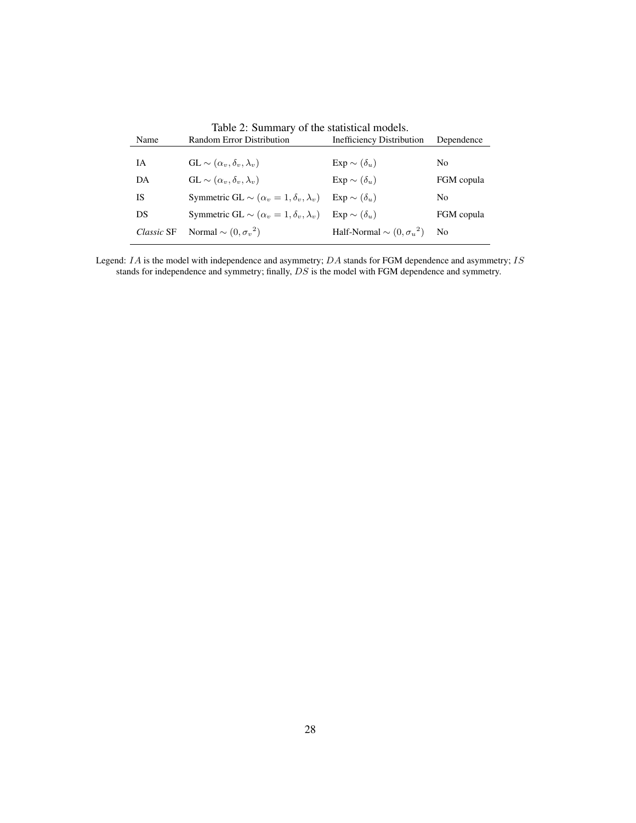| Name       | Random Error Distribution                               | Inefficiency Distribution          | Dependence     |
|------------|---------------------------------------------------------|------------------------------------|----------------|
|            |                                                         |                                    |                |
| IA         | $GL \sim (\alpha_v, \delta_v, \lambda_v)$               | $Exp \sim (\delta_u)$              | No.            |
| DA         | $GL \sim (\alpha_v, \delta_v, \lambda_v)$               | $Exp \sim (\delta_u)$              | FGM copula     |
| <b>IS</b>  | Symmetric GL $\sim (\alpha_v = 1, \delta_v, \lambda_v)$ | $Exp \sim (\delta_u)$              | No.            |
| DS         | Symmetric GL $\sim (\alpha_v = 1, \delta_v, \lambda_v)$ | $Exp \sim (\delta_u)$              | FGM copula     |
| Classic SF | Normal $\sim (0, {\sigma_v}^2)$                         | Half-Normal $\sim (0, \sigma_u^2)$ | N <sub>0</sub> |

Table 2: Summary of the statistical models.

Legend:  $IA$  is the model with independence and asymmetry;  $DA$  stands for FGM dependence and asymmetry;  $IS$ stands for independence and symmetry; finally,  $DS$  is the model with FGM dependence and symmetry.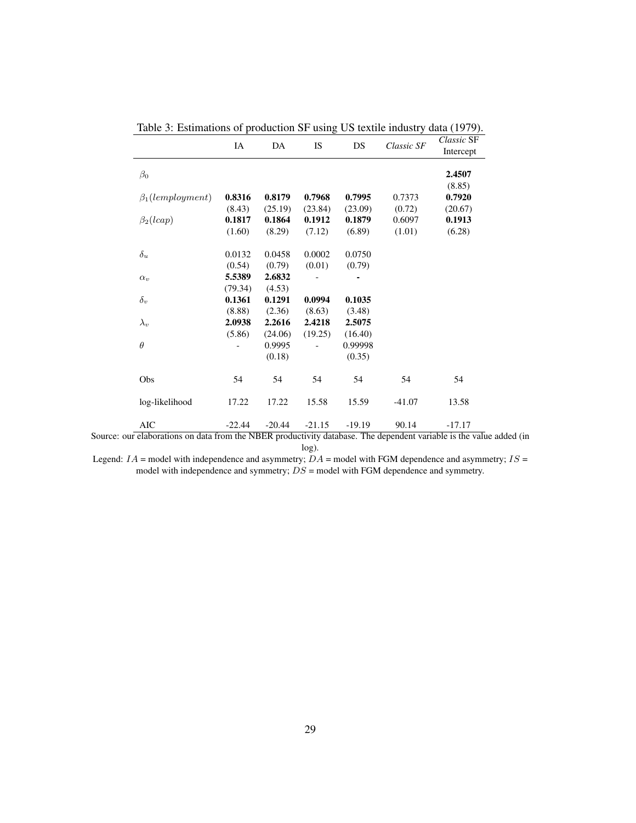|                         | IA       | DA       | IS       | DS       | Classic SF | Classic SF<br>Intercept |
|-------------------------|----------|----------|----------|----------|------------|-------------------------|
| $\beta_0$               |          |          |          |          |            | 2.4507                  |
|                         |          |          |          |          |            | (8.85)                  |
| $\beta_1$ (lemployment) | 0.8316   | 0.8179   | 0.7968   | 0.7995   | 0.7373     | 0.7920                  |
|                         | (8.43)   | (25.19)  | (23.84)  | (23.09)  | (0.72)     | (20.67)                 |
| $\beta_2(lcap)$         | 0.1817   | 0.1864   | 0.1912   | 0.1879   | 0.6097     | 0.1913                  |
|                         | (1.60)   | (8.29)   | (7.12)   | (6.89)   | (1.01)     | (6.28)                  |
| $\delta_u$              | 0.0132   | 0.0458   | 0.0002   | 0.0750   |            |                         |
|                         | (0.54)   | (0.79)   | (0.01)   | (0.79)   |            |                         |
| $\alpha_v$              | 5.5389   | 2.6832   |          |          |            |                         |
|                         | (79.34)  | (4.53)   |          |          |            |                         |
| $\delta_v$              | 0.1361   | 0.1291   | 0.0994   | 0.1035   |            |                         |
|                         | (8.88)   | (2.36)   | (8.63)   | (3.48)   |            |                         |
| $\lambda_v$             | 2.0938   | 2.2616   | 2.4218   | 2.5075   |            |                         |
|                         | (5.86)   | (24.06)  | (19.25)  | (16.40)  |            |                         |
| $\theta$                |          | 0.9995   |          | 0.99998  |            |                         |
|                         |          | (0.18)   |          | (0.35)   |            |                         |
| Obs                     | 54       | 54       | 54       | 54       | 54         | 54                      |
| log-likelihood          | 17.22    | 17.22    | 15.58    | 15.59    | $-41.07$   | 13.58                   |
| <b>AIC</b>              | $-22.44$ | $-20.44$ | $-21.15$ | $-19.19$ | 90.14      | $-17.17$                |

Table 3: Estimations of production SF using US textile industry data (1979).

Source: our elaborations on data from the NBER productivity database. The dependent variable is the value added (in log).

Legend:  $IA =$  model with independence and asymmetry;  $DA =$  model with FGM dependence and asymmetry;  $IS =$ model with independence and symmetry;  $DS$  = model with FGM dependence and symmetry.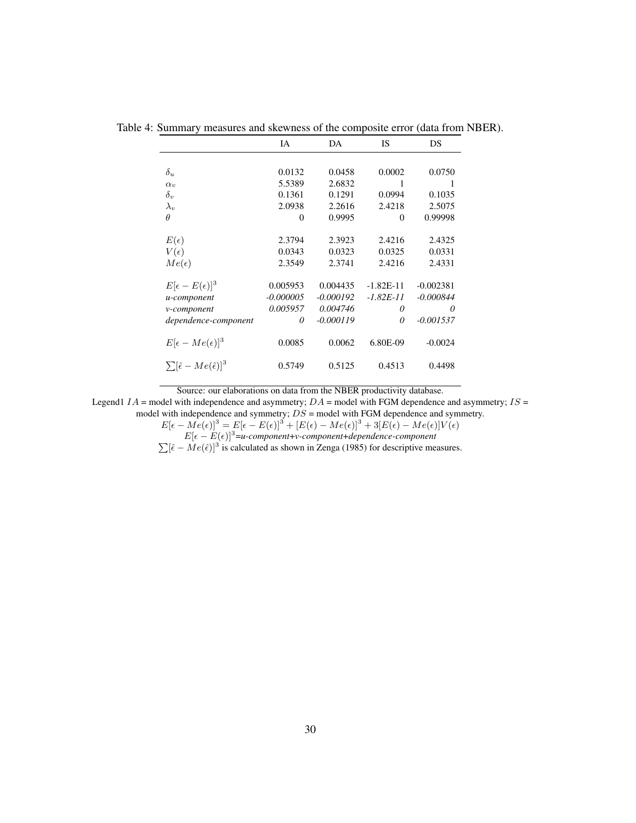|                                                | IA             | DA          | <b>IS</b>   | DS          |
|------------------------------------------------|----------------|-------------|-------------|-------------|
|                                                |                |             |             |             |
| $\delta_u$                                     | 0.0132         | 0.0458      | 0.0002      | 0.0750      |
| $\alpha_v$                                     | 5.5389         | 2.6832      | 1           | 1           |
| $\delta_v$                                     | 0.1361         | 0.1291      | 0.0994      | 0.1035      |
| $\lambda_v$                                    | 2.0938         | 2.2616      | 2.4218      | 2.5075      |
| $\theta$                                       | $\overline{0}$ | 0.9995      | $\theta$    | 0.99998     |
| $E(\epsilon)$                                  | 2.3794         | 2.3923      | 2.4216      | 2.4325      |
| $V(\epsilon)$                                  | 0.0343         | 0.0323      | 0.0325      | 0.0331      |
| $Me(\epsilon)$                                 | 2.3549         | 2.3741      | 2.4216      | 2.4331      |
| $E[\epsilon - E(\epsilon)]^3$                  | 0.005953       | 0.004435    | $-1.82E-11$ | $-0.002381$ |
| u-component                                    | $-0.000005$    | $-0.000192$ | $-1.82E-11$ | $-0.000844$ |
| v-component                                    | 0.005957       | 0.004746    | 0           | 0           |
| dependence-component                           | 0              | $-0.000119$ | 0           | $-0.001537$ |
| $E[\epsilon - Me(\epsilon)]^3$                 | 0.0085         | 0.0062      | 6.80E-09    | $-0.0024$   |
| $\sum [\hat{\epsilon} - Me(\hat{\epsilon})]^3$ | 0.5749         | 0.5125      | 0.4513      | 0.4498      |

Table 4: Summary measures and skewness of the composite error (data from NBER).

Source: our elaborations on data from the NBER productivity database.

Legend1  $IA$  = model with independence and asymmetry;  $DA$  = model with FGM dependence and asymmetry;  $IS$  = model with independence and symmetry;  $DS =$  model with FGM dependence and symmetry.

 $E[\epsilon - Me(\epsilon)]^3 = E[\epsilon - E(\epsilon)]^3 + [E(\epsilon) - Me(\epsilon)]^3 + 3[E(\epsilon) - Me(\epsilon)]V(\epsilon)$ 

 $E[\epsilon - E(\epsilon)]^3$ =*u-component*+*v-component*+*dependence-component*<br> $\sum [\hat{\epsilon} - Me(\hat{\epsilon})]^3$  is calculated as shown in Zenga (1985) for descriptive measures.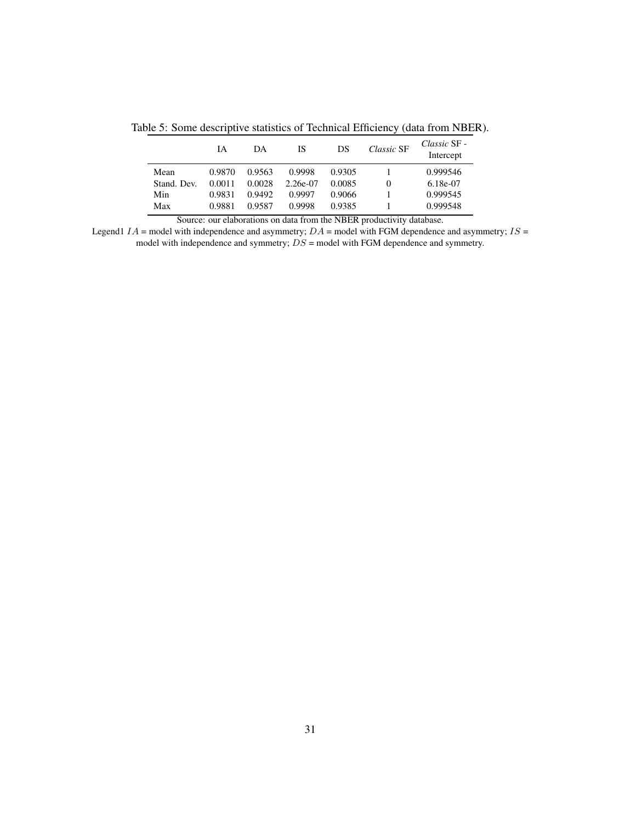Table 5: Some descriptive statistics of Technical Efficiency (data from NBER).

|             | ĪА     | DA     | IS       | DS     | Classic SF | Classic SF -<br>Intercept |
|-------------|--------|--------|----------|--------|------------|---------------------------|
| Mean        | 0.9870 | 0.9563 | 0.9998   | 0.9305 |            | 0.999546                  |
| Stand. Dev. | 0.0011 | 0.0028 | 2.26e-07 | 0.0085 | 0          | $6.18e-07$                |
| Min         | 0.9831 | 0.9492 | 0.9997   | 0.9066 |            | 0.999545                  |
| Max         | 0.9881 | 0.9587 | 0.9998   | 0.9385 |            | 0.999548                  |

Source: our elaborations on data from the NBER productivity database.

Legend1  $IA$  = model with independence and asymmetry;  $DA$  = model with FGM dependence and asymmetry;  $IS$  = model with independence and symmetry;  $DS =$  model with FGM dependence and symmetry.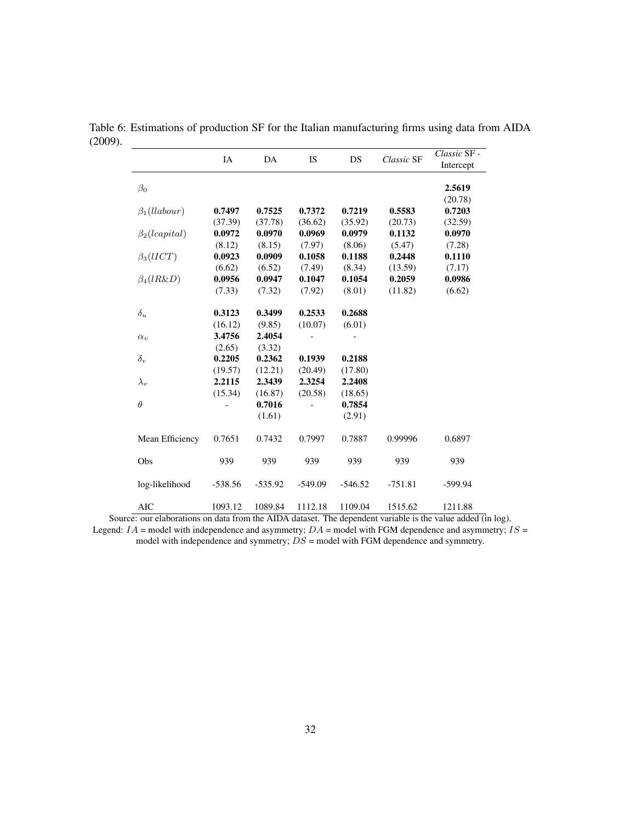|                              | IA        | DA        | <b>IS</b> | DS        | Classic SF | Classic SF -<br>Intercept |
|------------------------------|-----------|-----------|-----------|-----------|------------|---------------------------|
| $\beta_0$                    |           |           |           |           |            | 2.5619                    |
|                              |           |           |           |           |            | (20.78)                   |
| $\beta_1(llabour)$           | 0.7497    | 0.7525    | 0.7372    | 0.7219    | 0.5583     | 0.7203                    |
|                              | (37.39)   | (37.78)   | (36.62)   | (35.92)   | (20.73)    | (32.59)                   |
| $\beta_2$ ( <i>capital</i> ) | 0.0972    | 0.0970    | 0.0969    | 0.0979    | 0.1132     | 0.0970                    |
|                              | (8.12)    | (8.15)    | (7.97)    | (8.06)    | (5.47)     | (7.28)                    |
| $\beta_3(lICT)$              | 0.0923    | 0.0909    | 0.1058    | 0.1188    | 0.2448     | 0.1110                    |
|                              | (6.62)    | (6.52)    | (7.49)    | (8.34)    | (13.59)    | (7.17)                    |
| $\beta_4(lR\&D)$             | 0.0956    | 0.0947    | 0.1047    | 0.1054    | 0.2059     | 0.0986                    |
|                              | (7.33)    | (7.32)    | (7.92)    | (8.01)    | (11.82)    | (6.62)                    |
| $\delta_u$                   | 0.3123    | 0.3499    | 0.2533    | 0.2688    |            |                           |
|                              | (16.12)   | (9.85)    | (10.07)   | (6.01)    |            |                           |
| $\alpha_v$                   | 3.4756    | 2.4054    |           |           |            |                           |
|                              | (2.65)    | (3.32)    |           |           |            |                           |
| $\delta_v$                   | 0.2205    | 0.2362    | 0.1939    | 0.2188    |            |                           |
|                              | (19.57)   | (12.21)   | (20.49)   | (17.80)   |            |                           |
| $\lambda_v$                  | 2.2115    | 2.3439    | 2.3254    | 2.2408    |            |                           |
|                              | (15.34)   | (16.87)   | (20.58)   | (18.65)   |            |                           |
| $\theta$                     |           | 0.7016    |           | 0.7854    |            |                           |
|                              |           | (1.61)    |           | (2.91)    |            |                           |
| Mean Efficiency              | 0.7651    | 0.7432    | 0.7997    | 0.7887    | 0.99996    | 0.6897                    |
| Obs                          | 939       | 939       | 939       | 939       | 939        | 939                       |
| log-likelihood               | $-538.56$ | $-535.92$ | $-549.09$ | $-546.52$ | $-751.81$  | $-599.94$                 |
| <b>AIC</b>                   | 1093.12   | 1089.84   | 1112.18   | 1109.04   | 1515.62    | 1211.88                   |

Table 6: Estimations of production SF for the Italian manufacturing firms using data from AIDA (2009).

Source: our elaborations on data from the AIDA dataset. The dependent variable is the value added (in log). Legend:  $IA$  = model with independence and asymmetry;  $DA$  = model with FGM dependence and asymmetry;  $IS$  = model with independence and symmetry;  $DS$  = model with FGM dependence and symmetry.